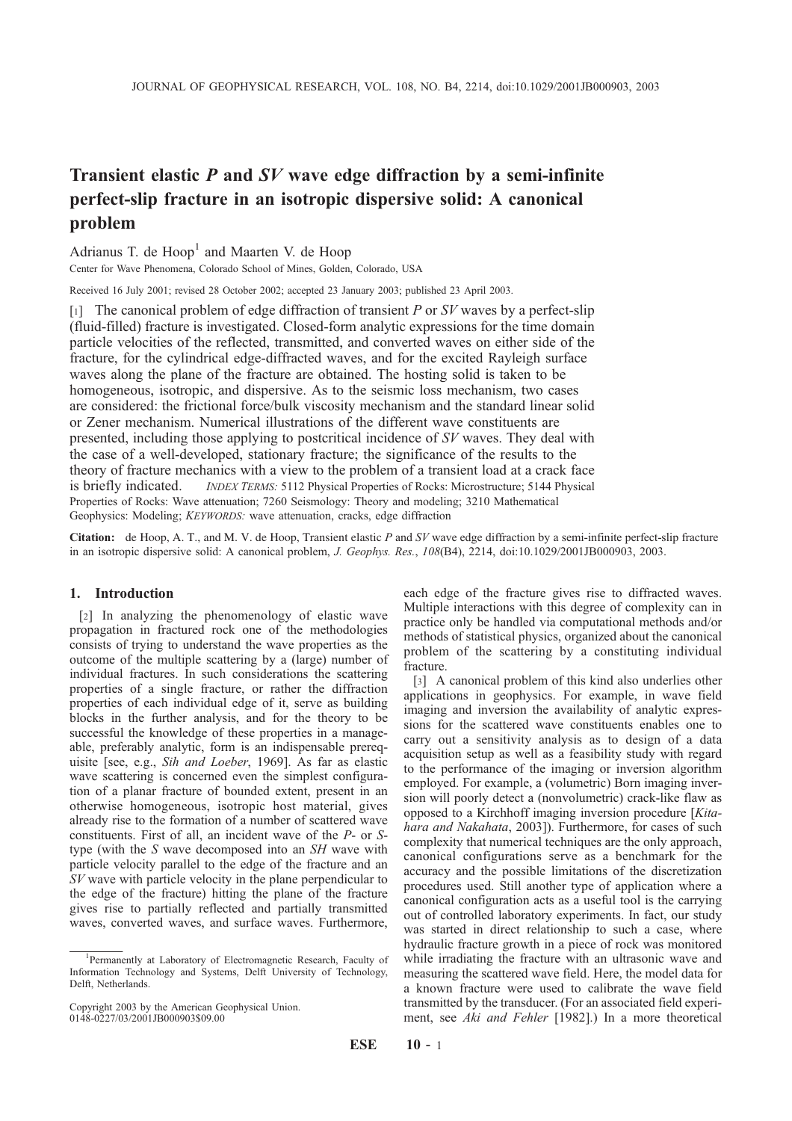# Transient elastic P and SV wave edge diffraction by a semi-infinite perfect-slip fracture in an isotropic dispersive solid: A canonical problem

Adrianus T. de Hoop<sup>1</sup> and Maarten V. de Hoop

Center for Wave Phenomena, Colorado School of Mines, Golden, Colorado, USA

Received 16 July 2001; revised 28 October 2002; accepted 23 January 2003; published 23 April 2003.

[1] The canonical problem of edge diffraction of transient P or  $SV$  waves by a perfect-slip (fluid-filled) fracture is investigated. Closed-form analytic expressions for the time domain particle velocities of the reflected, transmitted, and converted waves on either side of the fracture, for the cylindrical edge-diffracted waves, and for the excited Rayleigh surface waves along the plane of the fracture are obtained. The hosting solid is taken to be homogeneous, isotropic, and dispersive. As to the seismic loss mechanism, two cases are considered: the frictional force/bulk viscosity mechanism and the standard linear solid or Zener mechanism. Numerical illustrations of the different wave constituents are presented, including those applying to postcritical incidence of SV waves. They deal with the case of a well-developed, stationary fracture; the significance of the results to the theory of fracture mechanics with a view to the problem of a transient load at a crack face is briefly indicated. *INDEX TERMS:* 5112 Physical Properties of Rocks: Microstructure; 5144 Physical Properties of Rocks: Wave attenuation; 7260 Seismology: Theory and modeling; 3210 Mathematical Geophysics: Modeling; KEYWORDS: wave attenuation, cracks, edge diffraction

Citation: de Hoop, A. T., and M. V. de Hoop, Transient elastic P and SV wave edge diffraction by a semi-infinite perfect-slip fracture in an isotropic dispersive solid: A canonical problem, J. Geophys. Res., 108(B4), 2214, doi:10.1029/2001JB000903, 2003.

## 1. Introduction

[2] In analyzing the phenomenology of elastic wave propagation in fractured rock one of the methodologies consists of trying to understand the wave properties as the outcome of the multiple scattering by a (large) number of individual fractures. In such considerations the scattering properties of a single fracture, or rather the diffraction properties of each individual edge of it, serve as building blocks in the further analysis, and for the theory to be successful the knowledge of these properties in a manageable, preferably analytic, form is an indispensable prerequisite [see, e.g., Sih and Loeber, 1969]. As far as elastic wave scattering is concerned even the simplest configuration of a planar fracture of bounded extent, present in an otherwise homogeneous, isotropic host material, gives already rise to the formation of a number of scattered wave constituents. First of all, an incident wave of the P- or Stype (with the S wave decomposed into an SH wave with particle velocity parallel to the edge of the fracture and an SV wave with particle velocity in the plane perpendicular to the edge of the fracture) hitting the plane of the fracture gives rise to partially reflected and partially transmitted waves, converted waves, and surface waves. Furthermore,

Copyright 2003 by the American Geophysical Union. 0148-0227/03/2001JB000903\$09.00

each edge of the fracture gives rise to diffracted waves. Multiple interactions with this degree of complexity can in practice only be handled via computational methods and/or methods of statistical physics, organized about the canonical problem of the scattering by a constituting individual fracture.

[3] A canonical problem of this kind also underlies other applications in geophysics. For example, in wave field imaging and inversion the availability of analytic expressions for the scattered wave constituents enables one to carry out a sensitivity analysis as to design of a data acquisition setup as well as a feasibility study with regard to the performance of the imaging or inversion algorithm employed. For example, a (volumetric) Born imaging inversion will poorly detect a (nonvolumetric) crack-like flaw as opposed to a Kirchhoff imaging inversion procedure [Kitahara and Nakahata, 2003]). Furthermore, for cases of such complexity that numerical techniques are the only approach, canonical configurations serve as a benchmark for the accuracy and the possible limitations of the discretization procedures used. Still another type of application where a canonical configuration acts as a useful tool is the carrying out of controlled laboratory experiments. In fact, our study was started in direct relationship to such a case, where hydraulic fracture growth in a piece of rock was monitored while irradiating the fracture with an ultrasonic wave and measuring the scattered wave field. Here, the model data for a known fracture were used to calibrate the wave field transmitted by the transducer. (For an associated field experiment, see Aki and Fehler [1982].) In a more theoretical

<sup>1</sup> Permanently at Laboratory of Electromagnetic Research, Faculty of Information Technology and Systems, Delft University of Technology, Delft, Netherlands.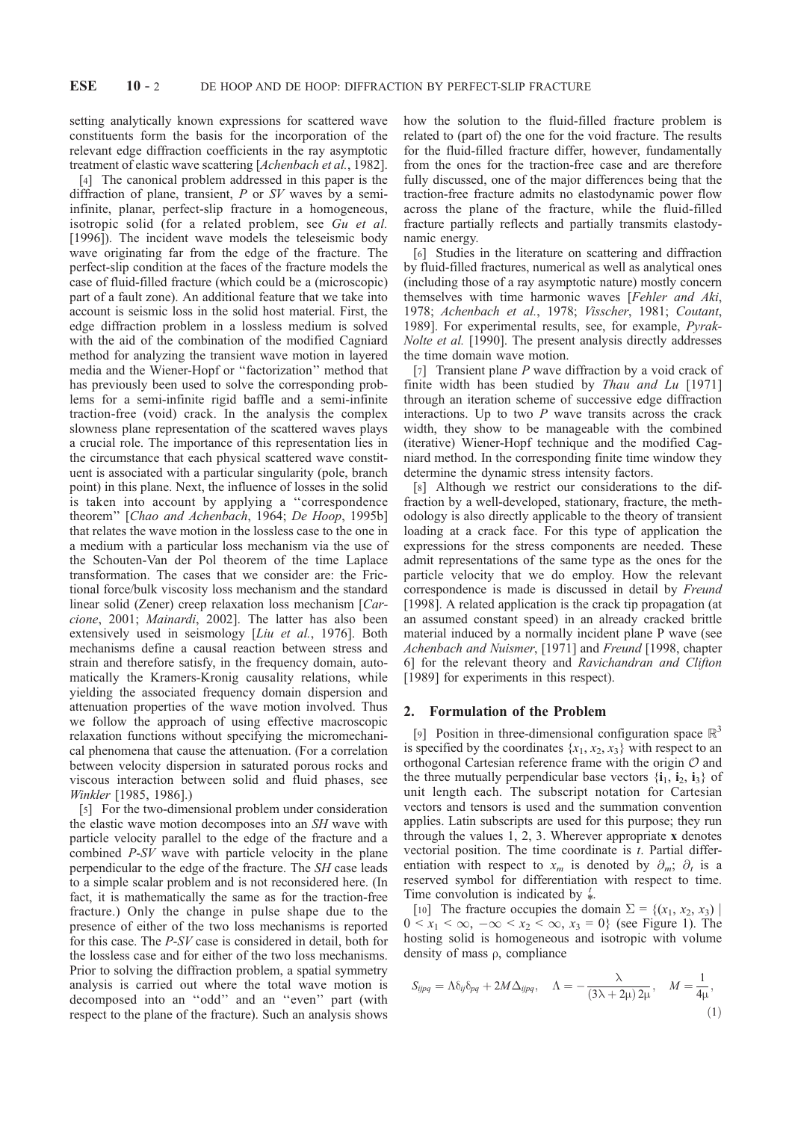setting analytically known expressions for scattered wave constituents form the basis for the incorporation of the relevant edge diffraction coefficients in the ray asymptotic treatment of elastic wave scattering [Achenbach et al., 1982].

[4] The canonical problem addressed in this paper is the diffraction of plane, transient, P or SV waves by a semiinfinite, planar, perfect-slip fracture in a homogeneous, isotropic solid (for a related problem, see Gu et al. [1996]). The incident wave models the teleseismic body wave originating far from the edge of the fracture. The perfect-slip condition at the faces of the fracture models the case of fluid-filled fracture (which could be a (microscopic) part of a fault zone). An additional feature that we take into account is seismic loss in the solid host material. First, the edge diffraction problem in a lossless medium is solved with the aid of the combination of the modified Cagniard method for analyzing the transient wave motion in layered media and the Wiener-Hopf or ''factorization'' method that has previously been used to solve the corresponding problems for a semi-infinite rigid baffle and a semi-infinite traction-free (void) crack. In the analysis the complex slowness plane representation of the scattered waves plays a crucial role. The importance of this representation lies in the circumstance that each physical scattered wave constituent is associated with a particular singularity (pole, branch point) in this plane. Next, the influence of losses in the solid is taken into account by applying a ''correspondence theorem" [Chao and Achenbach, 1964; De Hoop, 1995b] that relates the wave motion in the lossless case to the one in a medium with a particular loss mechanism via the use of the Schouten-Van der Pol theorem of the time Laplace transformation. The cases that we consider are: the Frictional force/bulk viscosity loss mechanism and the standard linear solid (Zener) creep relaxation loss mechanism [Carcione, 2001; Mainardi, 2002]. The latter has also been extensively used in seismology [Liu et al., 1976]. Both mechanisms define a causal reaction between stress and strain and therefore satisfy, in the frequency domain, automatically the Kramers-Kronig causality relations, while yielding the associated frequency domain dispersion and attenuation properties of the wave motion involved. Thus we follow the approach of using effective macroscopic relaxation functions without specifying the micromechanical phenomena that cause the attenuation. (For a correlation between velocity dispersion in saturated porous rocks and viscous interaction between solid and fluid phases, see Winkler [1985, 1986].)

[5] For the two-dimensional problem under consideration the elastic wave motion decomposes into an SH wave with particle velocity parallel to the edge of the fracture and a combined P-SV wave with particle velocity in the plane perpendicular to the edge of the fracture. The SH case leads to a simple scalar problem and is not reconsidered here. (In fact, it is mathematically the same as for the traction-free fracture.) Only the change in pulse shape due to the presence of either of the two loss mechanisms is reported for this case. The P-SV case is considered in detail, both for the lossless case and for either of the two loss mechanisms. Prior to solving the diffraction problem, a spatial symmetry analysis is carried out where the total wave motion is decomposed into an ''odd'' and an ''even'' part (with respect to the plane of the fracture). Such an analysis shows

how the solution to the fluid-filled fracture problem is related to (part of) the one for the void fracture. The results for the fluid-filled fracture differ, however, fundamentally from the ones for the traction-free case and are therefore fully discussed, one of the major differences being that the traction-free fracture admits no elastodynamic power flow across the plane of the fracture, while the fluid-filled fracture partially reflects and partially transmits elastodynamic energy.

[6] Studies in the literature on scattering and diffraction by fluid-filled fractures, numerical as well as analytical ones (including those of a ray asymptotic nature) mostly concern themselves with time harmonic waves [Fehler and Aki, 1978; Achenbach et al., 1978; Visscher, 1981; Coutant, 1989]. For experimental results, see, for example, Pyrak-Nolte et al. [1990]. The present analysis directly addresses the time domain wave motion.

[7] Transient plane P wave diffraction by a void crack of finite width has been studied by *Thau and Lu* [1971] through an iteration scheme of successive edge diffraction interactions. Up to two  $P$  wave transits across the crack width, they show to be manageable with the combined (iterative) Wiener-Hopf technique and the modified Cagniard method. In the corresponding finite time window they determine the dynamic stress intensity factors.

[8] Although we restrict our considerations to the diffraction by a well-developed, stationary, fracture, the methodology is also directly applicable to the theory of transient loading at a crack face. For this type of application the expressions for the stress components are needed. These admit representations of the same type as the ones for the particle velocity that we do employ. How the relevant correspondence is made is discussed in detail by Freund [1998]. A related application is the crack tip propagation (at an assumed constant speed) in an already cracked brittle material induced by a normally incident plane P wave (see Achenbach and Nuismer, [1971] and Freund [1998, chapter 6] for the relevant theory and Ravichandran and Clifton [1989] for experiments in this respect).

#### 2. Formulation of the Problem

[9] Position in three-dimensional configuration space  $\mathbb{R}^3$ is specified by the coordinates  $\{x_1, x_2, x_3\}$  with respect to an orthogonal Cartesian reference frame with the origin  $O$  and the three mutually perpendicular base vectors  $\{i_1, i_2, i_3\}$  of unit length each. The subscript notation for Cartesian vectors and tensors is used and the summation convention applies. Latin subscripts are used for this purpose; they run through the values  $1, 2, 3$ . Wherever appropriate x denotes vectorial position. The time coordinate is  $t$ . Partial differentiation with respect to  $x_m$  is denoted by  $\partial_m$ ;  $\partial_t$  is a reserved symbol for differentiation with respect to time. Time convolution is indicated by  $\stackrel{t}{\ast}$ .

[10] The fracture occupies the domain  $\Sigma = \{(x_1, x_2, x_3) \mid$  $0 \le x_1 \le \infty$ ,  $-\infty \le x_2 \le \infty$ ,  $x_3 = 0$ } (see Figure 1). The hosting solid is homogeneous and isotropic with volume density of mass  $\rho$ , compliance

$$
S_{ijpq} = \Lambda \delta_{ij} \delta_{pq} + 2M \Delta_{ijpq}, \quad \Lambda = -\frac{\lambda}{(3\lambda + 2\mu) 2\mu}, \quad M = \frac{1}{4\mu}, \tag{1}
$$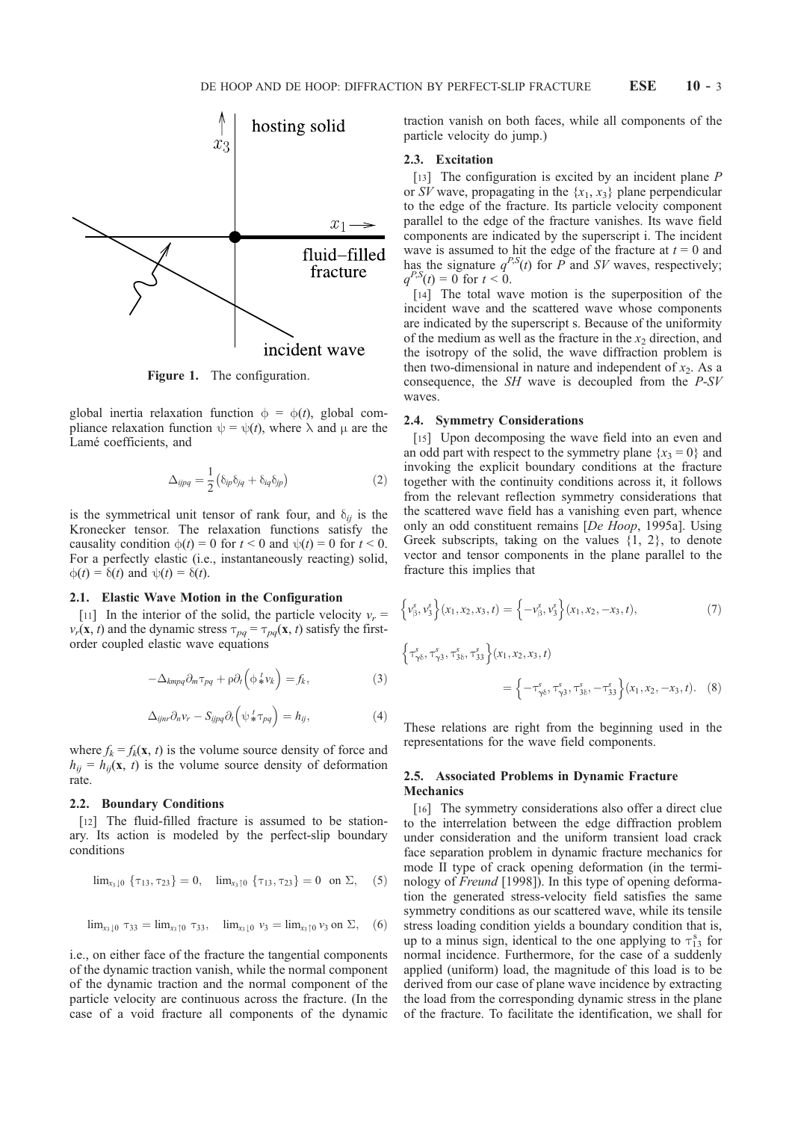

Figure 1. The configuration.

global inertia relaxation function  $\phi = \phi(t)$ , global compliance relaxation function  $\psi = \psi(t)$ , where  $\lambda$  and  $\mu$  are the Lamé coefficients, and

$$
\Delta_{ijpq} = \frac{1}{2} \left( \delta_{ip} \delta_{jq} + \delta_{iq} \delta_{jp} \right) \tag{2}
$$

is the symmetrical unit tensor of rank four, and  $\delta_{ij}$  is the Kronecker tensor. The relaxation functions satisfy the causality condition  $\phi(t) = 0$  for  $t < 0$  and  $\psi(t) = 0$  for  $t < 0$ . For a perfectly elastic (i.e., instantaneously reacting) solid,  $\phi(t) = \delta(t)$  and  $\psi(t) = \delta(t)$ .

#### 2.1. Elastic Wave Motion in the Configuration

[11] In the interior of the solid, the particle velocity  $v_r =$  $v_r(\mathbf{x}, t)$  and the dynamic stress  $\tau_{pq} = \tau_{pq}(\mathbf{x}, t)$  satisfy the firstorder coupled elastic wave equations

$$
-\Delta_{kmpq}\partial_m\tau_{pq} + \rho \partial_t \left(\phi_*^t v_k\right) = f_k,\tag{3}
$$

$$
\Delta_{ijnr}\partial_n v_r - S_{ijpq}\partial_t \left(\psi \, \frac{t}{*}\tau_{pq}\right) = h_{ij},\tag{4}
$$

where  $f_k = f_k(\mathbf{x}, t)$  is the volume source density of force and  $h_{ii} = h_{ii}(\mathbf{x}, t)$  is the volume source density of deformation rate.

#### 2.2. Boundary Conditions

[12] The fluid-filled fracture is assumed to be stationary. Its action is modeled by the perfect-slip boundary conditions

$$
\lim_{x_3 \downarrow 0} \{\tau_{13}, \tau_{23}\} = 0, \quad \lim_{x_3 \uparrow 0} \{\tau_{13}, \tau_{23}\} = 0 \text{ on } \Sigma, \quad (5)
$$

$$
\lim_{x_3 \downarrow 0} \tau_{33} = \lim_{x_3 \uparrow 0} \tau_{33}, \quad \lim_{x_3 \downarrow 0} \nu_3 = \lim_{x_3 \uparrow 0} \nu_3 \text{ on } \Sigma, \quad (6)
$$

i.e., on either face of the fracture the tangential components of the dynamic traction vanish, while the normal component of the dynamic traction and the normal component of the particle velocity are continuous across the fracture. (In the case of a void fracture all components of the dynamic traction vanish on both faces, while all components of the particle velocity do jump.)

### 2.3. Excitation

[13] The configuration is excited by an incident plane P or SV wave, propagating in the  $\{x_1, x_3\}$  plane perpendicular to the edge of the fracture. Its particle velocity component parallel to the edge of the fracture vanishes. Its wave field components are indicated by the superscript i. The incident wave is assumed to hit the edge of the fracture at  $t = 0$  and has the signature  $q^{P,S}(t)$  for P and SV waves, respectively;  $q^{P,S}(t) = 0$  for  $t < 0$ .

[14] The total wave motion is the superposition of the incident wave and the scattered wave whose components are indicated by the superscript s. Because of the uniformity of the medium as well as the fracture in the  $x_2$  direction, and the isotropy of the solid, the wave diffraction problem is then two-dimensional in nature and independent of  $x_2$ . As a consequence, the  $SH$  wave is decoupled from the  $P-SV$ waves.

#### 2.4. Symmetry Considerations

[15] Upon decomposing the wave field into an even and an odd part with respect to the symmetry plane  $\{x_3 = 0\}$  and invoking the explicit boundary conditions at the fracture together with the continuity conditions across it, it follows from the relevant reflection symmetry considerations that the scattered wave field has a vanishing even part, whence only an odd constituent remains [De Hoop, 1995a]. Using Greek subscripts, taking on the values  $\{1, 2\}$ , to denote vector and tensor components in the plane parallel to the fracture this implies that

$$
\left\{v_{\beta}^{s}, v_{3}^{s}\right\}(x_{1}, x_{2}, x_{3}, t) = \left\{-v_{\beta}^{s}, v_{3}^{s}\right\}(x_{1}, x_{2}, -x_{3}, t), \tag{7}
$$

$$
\begin{aligned} \left\{ \tau_{\gamma\delta}^s, \tau_{\gamma3}^s, \tau_{3\delta}^s, \tau_{33}^s \right\} (x_1, x_2, x_3, t) \\ &= \left\{ -\tau_{\gamma\delta}^s, \tau_{\gamma3}^s, \tau_{3\delta}^s, -\tau_{33}^s \right\} (x_1, x_2, -x_3, t). \end{aligned} \tag{8}
$$

These relations are right from the beginning used in the representations for the wave field components.

### 2.5. Associated Problems in Dynamic Fracture **Mechanics**

[16] The symmetry considerations also offer a direct clue to the interrelation between the edge diffraction problem under consideration and the uniform transient load crack face separation problem in dynamic fracture mechanics for mode II type of crack opening deformation (in the terminology of *Freund* [1998]). In this type of opening deformation the generated stress-velocity field satisfies the same symmetry conditions as our scattered wave, while its tensile stress loading condition yields a boundary condition that is, up to a minus sign, identical to the one applying to  $\tau_{13}^s$  for normal incidence. Furthermore, for the case of a suddenly applied (uniform) load, the magnitude of this load is to be derived from our case of plane wave incidence by extracting the load from the corresponding dynamic stress in the plane of the fracture. To facilitate the identification, we shall for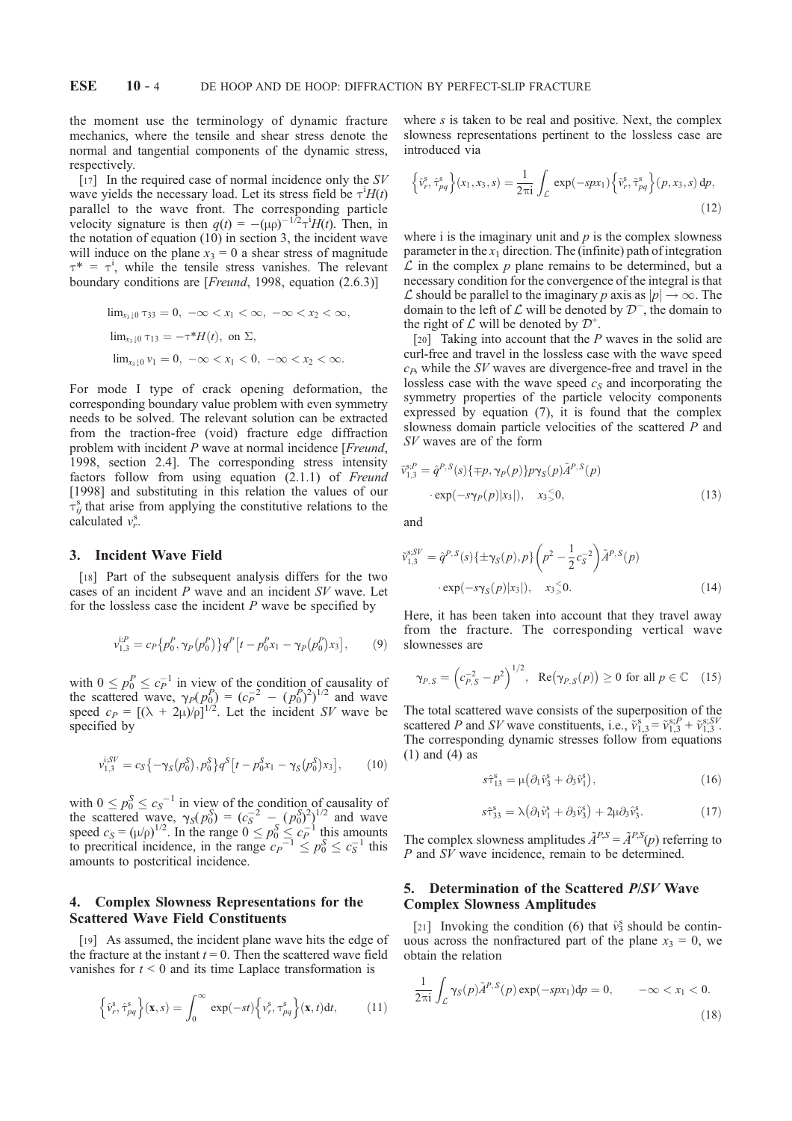the moment use the terminology of dynamic fracture mechanics, where the tensile and shear stress denote the normal and tangential components of the dynamic stress, respectively.

[17] In the required case of normal incidence only the  $SV$ wave yields the necessary load. Let its stress field be  $\tau$ <sup>i</sup> $H(t)$ parallel to the wave front. The corresponding particle velocity signature is then  $q(t) = -(\mu \rho)^{-1/2} \tau^{i} H(t)$ . Then, in the notation of equation (10) in section 3, the incident wave will induce on the plane  $x_3 = 0$  a shear stress of magnitude  $\tau^* = \tau^i$ , while the tensile stress vanishes. The relevant boundary conditions are [*Freund*, 1998, equation (2.6.3)]

$$
\lim_{x_3 \downarrow 0} \tau_{33} = 0, \ -\infty < x_1 < \infty, \ -\infty < x_2 < \infty,
$$
\n
$$
\lim_{x_3 \downarrow 0} \tau_{13} = -\tau^* H(t), \text{ on } \Sigma,
$$
\n
$$
\lim_{x_3 \downarrow 0} \nu_1 = 0, \ -\infty < x_1 < 0, \ -\infty < x_2 < \infty.
$$

For mode I type of crack opening deformation, the corresponding boundary value problem with even symmetry needs to be solved. The relevant solution can be extracted from the traction-free (void) fracture edge diffraction problem with incident P wave at normal incidence [*Freund*, 1998, section 2.4]. The corresponding stress intensity factors follow from using equation (2.1.1) of Freund [1998] and substituting in this relation the values of our  $\tau_{ij}^s$  that arise from applying the constitutive relations to the calculated  $v_r^s$ .

#### 3. Incident Wave Field

[18] Part of the subsequent analysis differs for the two cases of an incident P wave and an incident SV wave. Let for the lossless case the incident  $P$  wave be specified by

$$
v_{1,3}^{i,P} = c_P \{ p_0^P, \gamma_P(p_0^P) \} q^P \left[ t - p_0^P x_1 - \gamma_P(p_0^P) x_3 \right],\tag{9}
$$

with  $0 \le p_0^P \le c_P^{-1}$  in view of the condition of causality of the scattered wave,  $\gamma_P(p_0^P) = (c_P^{-2} - (p_0^P)^2)^{1/2}$  and wave speed  $c_P = [(\lambda + 2\mu)/\rho]^{1/2}$ . Let the incident SV wave be specified by

$$
v_{1,3}^{i,SV} = c_S \{ -\gamma_S(p_0^S), p_0^S \} q^S \left[ t - p_0^S x_1 - \gamma_S(p_0^S) x_3 \right],\tag{10}
$$

with  $0 \le p_0^S \le c_S^{-1}$  in view of the condition of causality of the scattered wave,  $\gamma_S(p_0^S) = (c_S^{-2} - (p_0^S)^2)^{1/2}$  and wave speed  $c_S = (\mu/\rho)^{1/2}$ . In the range  $0 \le p_0^S \le c_P^{-1}$  this amounts to precritical incidence, in the range  $c_p^{-1} \leq p_0^S \leq c_s^{-1}$  this amounts to postcritical incidence.

# 4. Complex Slowness Representations for the Scattered Wave Field Constituents

[19] As assumed, the incident plane wave hits the edge of the fracture at the instant  $t = 0$ . Then the scattered wave field vanishes for  $t < 0$  and its time Laplace transformation is

$$
\left\{\hat{v}_r^s, \hat{\tau}_{pq}^s\right\}(\mathbf{x}, s) = \int_0^\infty \exp(-st) \left\{v_r^s, \tau_{pq}^s\right\}(\mathbf{x}, t) \mathrm{d}t,\tag{11}
$$

where s is taken to be real and positive. Next, the complex slowness representations pertinent to the lossless case are introduced via

$$
\left\{\hat{v}_r^s, \hat{\tau}_{pq}^s\right\}(x_1, x_3, s) = \frac{1}{2\pi i} \int_{\mathcal{L}} \exp(-spx_1) \left\{\tilde{v}_r^s, \tilde{\tau}_{pq}^s\right\}(p, x_3, s) \, dp,\tag{12}
$$

where i is the imaginary unit and  $p$  is the complex slowness parameter in the  $x_1$  direction. The (infinite) path of integration  $\mathcal L$  in the complex  $p$  plane remains to be determined, but a necessary condition for the convergence of the integral is that  $\mathcal L$  should be parallel to the imaginary p axis as  $|p| \to \infty$ . The domain to the left of  $\mathcal L$  will be denoted by  $\mathcal D^-$ , the domain to the right of  $\mathcal L$  will be denoted by  $\mathcal D^+$ .

[20] Taking into account that the P waves in the solid are curl-free and travel in the lossless case with the wave speed  $c_p$ , while the SV waves are divergence-free and travel in the lossless case with the wave speed  $c_S$  and incorporating the symmetry properties of the particle velocity components expressed by equation (7), it is found that the complex slowness domain particle velocities of the scattered P and SV waves are of the form

$$
\tilde{v}_{1,3}^{s,P} = \hat{q}^{P,S}(s)\{\mp p, \gamma_P(p)\}p\gamma_S(p)\tilde{A}^{P,S}(p)
$$

$$
\cdot \exp(-s\gamma_P(p)|x_3|), \quad x_3 \le 0,
$$
 (13)

and

$$
\tilde{v}_{1,3}^{s;SV} = \hat{q}^{P,S}(s) \{ \pm \gamma_S(p), p \} \left( p^2 - \frac{1}{2} c_S^{-2} \right) \tilde{A}^{P,S}(p) \cdot \exp(-s \gamma_S(p) |x_3|), \quad x_3 \le 0.
$$
\n(14)

Here, it has been taken into account that they travel away from the fracture. The corresponding vertical wave slownesses are

$$
\gamma_{P,S} = \left(c_{P,S}^{-2} - p^2\right)^{1/2}, \quad \text{Re}\left(\gamma_{P,S}(p)\right) \ge 0 \text{ for all } p \in \mathbb{C} \quad (15)
$$

The total scattered wave consists of the superposition of the scattered P and SV wave constituents, i.e.,  $\tilde{v}_{1,3}^s = \tilde{v}_{1,3}^{s,P} + \tilde{v}_{1,3}^{s,SV}$ . The corresponding dynamic stresses follow from equations (1) and (4) as

$$
s\hat{\tau}_{13}^s = \mu(\partial_1 \hat{\nu}_3^s + \partial_3 \hat{\nu}_1^s), \qquad (16)
$$

$$
\hat{\sigma}_{33}^s = \lambda \big( \partial_1 \hat{\nu}_1^s + \partial_3 \hat{\nu}_3^s \big) + 2\mu \partial_3 \hat{\nu}_3^s. \tag{17}
$$

The complex slowness amplitudes  $\tilde{A}^{P,S} = \tilde{A}^{P,S}(p)$  referring to P and  $S\dot{V}$  wave incidence, remain to be determined.

# 5. Determination of the Scattered P/SV Wave Complex Slowness Amplitudes

st^

[21] Invoking the condition (6) that  $\hat{v}_3^s$  should be continuous across the nonfractured part of the plane  $x_3 = 0$ , we obtain the relation

$$
\frac{1}{2\pi i} \int_{\mathcal{L}} \gamma_S(p) \tilde{A}^{P,S}(p) \exp(-spx_1) dp = 0, \qquad -\infty < x_1 < 0. \tag{18}
$$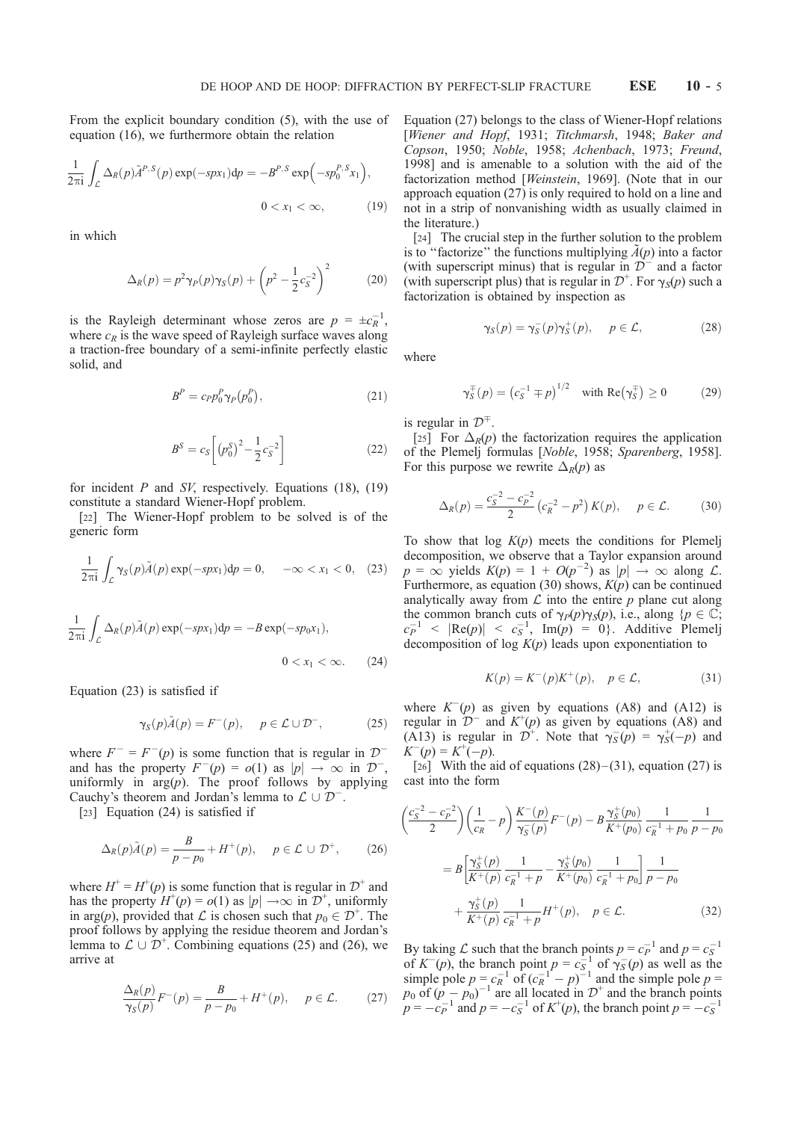From the explicit boundary condition (5), with the use of equation (16), we furthermore obtain the relation

$$
\frac{1}{2\pi i} \int_{\mathcal{L}} \Delta_R(p) \tilde{A}^{P,S}(p) \exp(-spx_1) dp = -B^{P,S} \exp(-sp_0^{P,S}x_1),
$$
  
0 < x<sub>1</sub> < \infty, (19)

in which

$$
\Delta_R(p) = p^2 \gamma_P(p) \gamma_S(p) + \left( p^2 - \frac{1}{2} c_S^{-2} \right)^2 \tag{20}
$$

is the Rayleigh determinant whose zeros are  $p = \pm c_R^{-1}$ , where  $c_R$  is the wave speed of Rayleigh surface waves along a traction-free boundary of a semi-infinite perfectly elastic solid, and

$$
B^P = c_P p_0^P \gamma_P (p_0^P), \qquad (21)
$$

$$
B^{S} = c_{S} \left[ \left( p_{0}^{S} \right)^{2} - \frac{1}{2} c_{S}^{-2} \right]
$$
 (22)

for incident  $P$  and  $SV$ , respectively. Equations (18), (19) constitute a standard Wiener-Hopf problem.

[22] The Wiener-Hopf problem to be solved is of the generic form

$$
\frac{1}{2\pi i} \int_{\mathcal{L}} \gamma_S(p) \tilde{A}(p) \exp(-spx_1) dp = 0, \quad -\infty < x_1 < 0, \quad (23)
$$

$$
\frac{1}{2\pi i} \int_{\mathcal{L}} \Delta_R(p)\tilde{A}(p) \exp(-spx_1) dp = -B \exp(-sp_0x_1),
$$
  
0 < x<sub>1</sub> < \infty. (24)

Equation (23) is satisfied if

$$
\gamma_S(p)\tilde{A}(p) = F^-(p), \quad p \in \mathcal{L} \cup \mathcal{D}^-, \tag{25}
$$

where  $F^- = F^-(p)$  is some function that is regular in  $\mathcal{D}^$ and has the property  $F^-(p) = o(1)$  as  $|p| \to \infty$  in  $\mathcal{D}^-$ , uniformly in  $arg(p)$ . The proof follows by applying Cauchy's theorem and Jordan's lemma to  $\mathcal{L} \cup \mathcal{D}^-$ .

[23] Equation (24) is satisfied if

$$
\Delta_R(p)\tilde{A}(p) = \frac{B}{p - p_0} + H^+(p), \quad p \in \mathcal{L} \cup \mathcal{D}^+, \qquad (26)
$$

where  $H^+ = H^+(p)$  is some function that is regular in  $\mathcal{D}^+$  and has the property  $H^+(p) = o(1)$  as  $|p| \rightarrow \infty$  in  $\mathcal{D}^+$ , uniformly in arg(p), provided that  $\mathcal L$  is chosen such that  $p_0 \in \mathcal D^+$ . The proof follows by applying the residue theorem and Jordan's lemma to  $\mathcal{L} \cup \mathcal{D}^{+}$ . Combining equations (25) and (26), we arrive at

$$
\frac{\Delta_R(p)}{\gamma_S(p)} F^-(p) = \frac{B}{p - p_0} + H^+(p), \quad p \in \mathcal{L}.
$$
 (27)

Equation (27) belongs to the class of Wiener-Hopf relations [Wiener and Hopf, 1931; Titchmarsh, 1948; Baker and Copson, 1950; Noble, 1958; Achenbach, 1973; Freund, 1998] and is amenable to a solution with the aid of the factorization method [Weinstein, 1969]. (Note that in our approach equation (27) is only required to hold on a line and not in a strip of nonvanishing width as usually claimed in the literature.)

[24] The crucial step in the further solution to the problem is to "factorize" the functions multiplying  $\tilde{A}(p)$  into a factor (with superscript minus) that is regular in  $\mathcal{D}^{-}$  and a factor (with superscript plus) that is regular in  $\mathcal{D}^+$ . For  $\gamma_s(p)$  such a factorization is obtained by inspection as

$$
\gamma_S(p) = \gamma_S^-(p)\gamma_S^+(p), \quad p \in \mathcal{L}, \tag{28}
$$

where

$$
\gamma_S^{\pm}(p) = \left(c_S^{-1} \mp p\right)^{1/2} \quad \text{with } \text{Re}\left(\gamma_S^{\pm}\right) \ge 0 \tag{29}
$$

is regular in  $\mathcal{D}^{\mp}$ .

[25] For  $\Delta_R(p)$  the factorization requires the application of the Plemelj formulas [Noble, 1958; Sparenberg, 1958]. For this purpose we rewrite  $\Delta_R(p)$  as

$$
\Delta_R(p) = \frac{c_S^{-2} - c_P^{-2}}{2} \left( c_R^{-2} - p^2 \right) K(p), \quad p \in \mathcal{L}.
$$
 (30)

To show that  $log K(p)$  meets the conditions for Plemelj decomposition, we observe that a Taylor expansion around  $p = \infty$  yields  $K(p) = 1 + O(p^{-2})$  as  $|p| \to \infty$  along  $\mathcal{L}$ . Furthermore, as equation (30) shows,  $K(p)$  can be continued analytically away from  $\mathcal L$  into the entire  $p$  plane cut along the common branch cuts of  $\gamma_P(p)\gamma_S(p)$ , i.e., along  $\{p \in \mathbb{C};\}$  $c_P^{-1}$  <  $|\text{Re}(p)|$  <  $c_S^{-1}$ , Im(p) = 0). Additive Plemelj decomposition of log  $K(p)$  leads upon exponentiation to

$$
K(p) = K^-(p)K^+(p), \quad p \in \mathcal{L}, \tag{31}
$$

where  $K^-(p)$  as given by equations (A8) and (A12) is regular in  $\mathcal{D}^-$  and  $K^+(p)$  as given by equations (A8) and (A13) is regular in  $\mathcal{D}^+$ . Note that  $\gamma_S(p) = \gamma_S^+(-p)$  and  $K^-(p) = K^+(-p).$ 

[26] With the aid of equations  $(28)$  –  $(31)$ , equation  $(27)$  is cast into the form

$$
\left(\frac{c_S^{-2} - c_P^{-2}}{2}\right) \left(\frac{1}{c_R} - p\right) \frac{K^-(p)}{\gamma_S^-(p)} F^-(p) - B \frac{\gamma_S^+(p_0)}{K^+(p_0)} \frac{1}{c_R^{-1} + p_0} \frac{1}{p - p_0}
$$

$$
= B \left[\frac{\gamma_S^+(p)}{K^+(p)} \frac{1}{c_R^{-1} + p} - \frac{\gamma_S^+(p_0)}{K^+(p_0)} \frac{1}{c_R^{-1} + p_0}\right] \frac{1}{p - p_0}
$$

$$
+ \frac{\gamma_S^+(p)}{K^+(p)} \frac{1}{c_R^{-1} + p} H^+(p), \quad p \in \mathcal{L}.
$$
(32)

By taking  $\mathcal L$  such that the branch points  $p = c_P^{-1}$  and  $p = c_S^{-1}$ of  $K^-(p)$ , the branch point  $p = c_s^{-1}$  of  $\gamma_s(p)$  as well as the simple pole  $p = c_R^{-1}$  of  $(c_R^{-1} - p)^{-1}$  and the simple pole  $p =$  $p_0$  of  $(p - p_0)^{-1}$  are all located in  $\mathcal{D}^+$  and the branch points  $p = -c_P^{-1}$  and  $p = -c_S^{-1}$  of  $K^+(p)$ , the branch point  $p = -c_S^{-1}$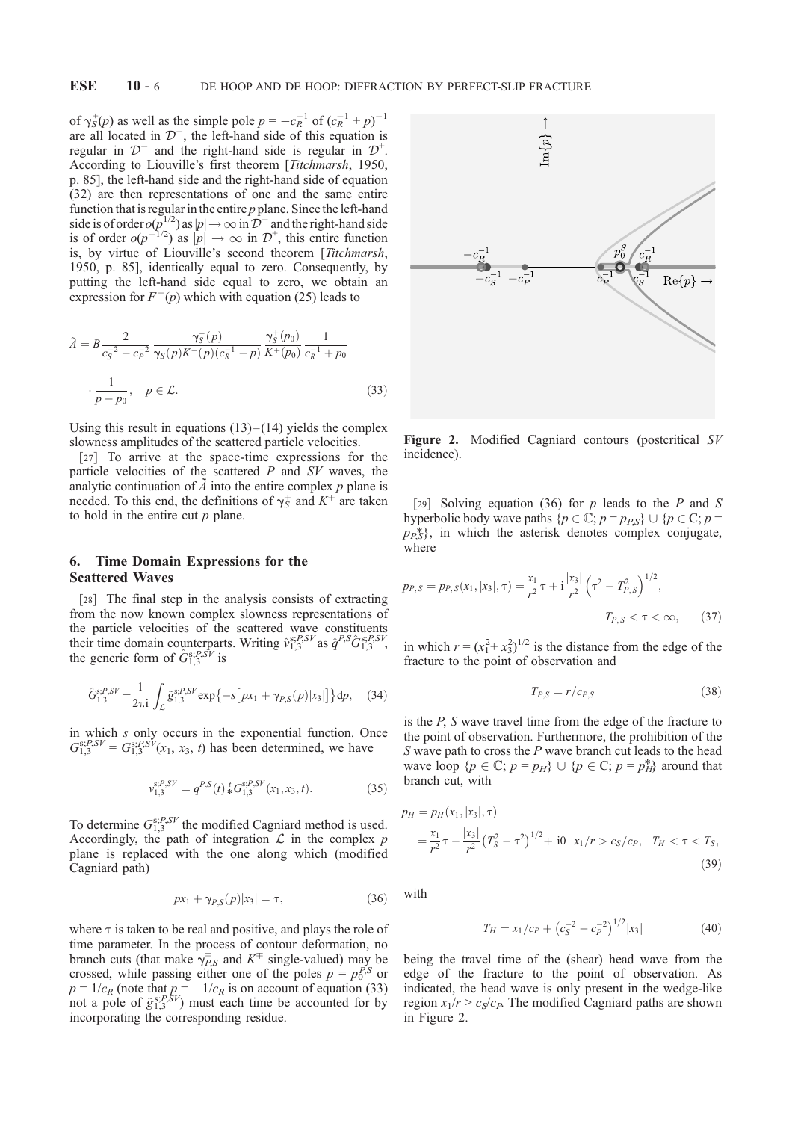of  $\gamma_S^+(p)$  as well as the simple pole  $p = -c_R^{-1}$  of  $(c_R^{-1} + p)^{-1}$ are all located in  $\mathcal{D}^-$ , the left-hand side of this equation is regular in  $\mathcal{D}^-$  and the right-hand side is regular in  $\mathcal{D}^+$ . According to Liouville's first theorem [Titchmarsh, 1950, p. 85], the left-hand side and the right-hand side of equation (32) are then representations of one and the same entire function that is regular in the entire  $p$  plane. Since the left-hand side is of order  $o(p^{1/2})$  as  $|p| \to \infty$  in  $\overline{D}^-$  and the right-hand side is of order  $o(p^{-1/2})$  as  $|p| \to \infty$  in  $\mathcal{D}^+$ , this entire function is, by virtue of Liouville's second theorem [Titchmarsh, 1950, p. 85], identically equal to zero. Consequently, by putting the left-hand side equal to zero, we obtain an expression for  $F^-(p)$  which with equation (25) leads to

$$
\tilde{A} = B \frac{2}{c_S^{-2} - c_P^{-2}} \frac{\gamma_S^-(p)}{\gamma_S(p)K^-(p)(c_R^{-1} - p)} \frac{\gamma_S^+(p_0)}{K^+(p_0)} \frac{1}{c_R^{-1} + p_0}
$$
\n
$$
\cdot \frac{1}{p - p_0}, \quad p \in \mathcal{L}.
$$
\n(33)

Using this result in equations  $(13)$  –  $(14)$  yields the complex slowness amplitudes of the scattered particle velocities.

[27] To arrive at the space-time expressions for the particle velocities of the scattered  $P$  and  $SV$  waves, the analytic continuation of  $\tilde{A}$  into the entire complex  $p$  plane is needed. To this end, the definitions of  $\gamma_S^{\pm}$  and  $K^{\pm}$  are taken to hold in the entire cut  $p$  plane.

# 6. Time Domain Expressions for the Scattered Waves

[28] The final step in the analysis consists of extracting from the now known complex slowness representations of the particle velocities of the scattered wave constituents their time domain counterparts. Writing  $\hat{v}_{1,3}^{s,P,SV}$  as  $\hat{q}^{P,S}\hat{G}_{1,3}^{s,P,SV}$ , the generic form of  $\hat{G}^{s;P,SV}_{1,3}$  is

$$
\hat{G}_{1,3}^{s,P,SV} = \frac{1}{2\pi i} \int_{\mathcal{L}} \tilde{g}_{1,3}^{s,P,SV} \exp\{-s[px_1 + \gamma_{P,S}(p)|x_3|]\} dp, \quad (34)
$$

in which s only occurs in the exponential function. Once  $G_{1,3}^{s,P,SV} = G_{1,3}^{s,P,SV}(x_1, x_3, t)$  has been determined, we have

$$
v_{1,3}^{s,P,SV} = q^{P,S}(t) * G_{1,3}^{s,P,SV}(x_1, x_3, t).
$$
 (35)

To determine  $G_{1,3}^{s,P,SV}$  the modified Cagniard method is used. Accordingly, the path of integration  $\mathcal L$  in the complex  $p$ plane is replaced with the one along which (modified Cagniard path)

$$
px_1 + \gamma_{P,S}(p)|x_3| = \tau,\tag{36}
$$

where  $\tau$  is taken to be real and positive, and plays the role of time parameter. In the process of contour deformation, no branch cuts (that make  $\gamma_{PS}^{\pm}$  and  $K^{\pm}$  single-valued) may be crossed, while passing either one of the poles  $p = p_0^{P,S}$  or  $p = 1/c_R$  (note that  $p = -1/c_R$  is on account of equation (33) not a pole of  $\tilde{g}_{1,3}^{s,P,\tilde{S}V}$  must each time be accounted for by incorporating the corresponding residue.



Figure 2. Modified Cagniard contours (postcritical SV incidence).

[29] Solving equation (36) for p leads to the P and S hyperbolic body wave paths  $\{p \in \mathbb{C}; p = p_{P,S}\} \cup \{p \in \mathbb{C}; p =$  $p_P^*$ , in which the asterisk denotes complex conjugate, where

$$
p_{P,S} = p_{P,S}(x_1, |x_3|, \tau) = \frac{x_1}{r^2} \tau + i \frac{|x_3|}{r^2} \left(\tau^2 - T_{P,S}^2\right)^{1/2},
$$
  

$$
T_{P,S} < \tau < \infty,
$$
 (37)

in which  $r = (x_1^2 + x_3^2)^{1/2}$  is the distance from the edge of the fracture to the point of observation and

$$
T_{P,S} = r/c_{P,S} \tag{38}
$$

is the P, S wave travel time from the edge of the fracture to the point of observation. Furthermore, the prohibition of the S wave path to cross the  $P$  wave branch cut leads to the head wave loop  $\{p \in \mathbb{C}; p = p_H\} \cup \{p \in \mathbb{C}; p = p_H^*\}\$  around that branch cut, with

$$
p_H = p_H(x_1, |x_3|, \tau)
$$
  
=  $\frac{x_1}{r^2} \tau - \frac{|x_3|}{r^2} (T_S^2 - \tau^2)^{1/2} + i0 \ x_1/r > c_S/c_P, \ T_H < \tau < T_S,$  (39)

with

$$
T_H = x_1/c_P + \left(c_S^{-2} - c_P^{-2}\right)^{1/2} |x_3| \tag{40}
$$

being the travel time of the (shear) head wave from the edge of the fracture to the point of observation. As indicated, the head wave is only present in the wedge-like region  $x_1/r > c_S/c_P$ . The modified Cagniard paths are shown in Figure 2.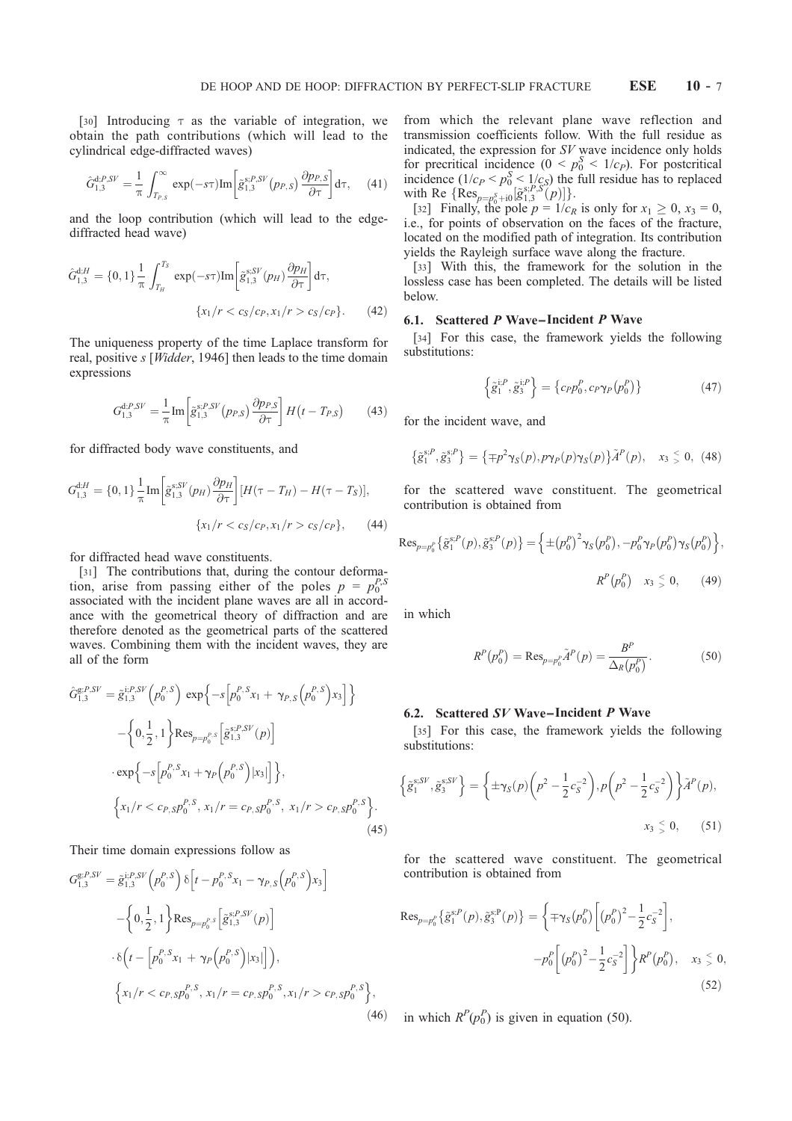[30] Introducing  $\tau$  as the variable of integration, we obtain the path contributions (which will lead to the cylindrical edge-diffracted waves)

$$
\hat{G}_{1,3}^{\mathrm{d};P,SV} = \frac{1}{\pi} \int_{T_{P,S}}^{\infty} \exp(-s\tau) \mathrm{Im} \left[ \tilde{g}_{1,3}^{\mathrm{s};P,SV}(p_{P,S}) \frac{\partial p_{P,S}}{\partial \tau} \right] d\tau, \quad (41)
$$

and the loop contribution (which will lead to the edgediffracted head wave)

$$
\hat{G}_{1,3}^{\text{d};H} = \{0,1\} \frac{1}{\pi} \int_{T_H}^{T_S} \exp(-s\tau) \text{Im} \left[ \tilde{g}_{1,3}^{\text{s};SV}(p_H) \frac{\partial p_H}{\partial \tau} \right] d\tau,
$$

$$
\{x_1/r < c_S/c_P, x_1/r > c_S/c_P\}. \tag{42}
$$

The uniqueness property of the time Laplace transform for real, positive s [Widder, 1946] then leads to the time domain expressions

$$
G_{1,3}^{\mathrm{d};P,SV} = \frac{1}{\pi} \mathrm{Im} \left[ \tilde{g}_{1,3}^{\mathrm{S};P,SV}(p_{P,S}) \frac{\partial p_{P,S}}{\partial \tau} \right] H\left(t - T_{P,S}\right) \tag{43}
$$

for diffracted body wave constituents, and

$$
G_{1,3}^{\text{d,H}} = \{0, 1\} \frac{1}{\pi} \text{Im} \left[ \tilde{g}_{1,3}^{\text{S,SV}}(p_H) \frac{\partial p_H}{\partial \tau} \right] [H(\tau - T_H) - H(\tau - T_S)],
$$
  

$$
\{x_1/r < c_S/c_P, x_1/r > c_S/c_P\}, \qquad (44)
$$

for diffracted head wave constituents.

[31] The contributions that, during the contour deformation, arise from passing either of the poles  $p = p_0^{P,S}$ associated with the incident plane waves are all in accordance with the geometrical theory of diffraction and are therefore denoted as the geometrical parts of the scattered waves. Combining them with the incident waves, they are all of the form

$$
\hat{G}_{1,3}^{\text{g};P,SV} = \tilde{g}_{1,3}^{\text{i};P,SV} \left( p_0^{P,S} \right) \exp \left\{ -s \left[ p_0^{P,S} x_1 + \gamma_{P,S} \left( p_0^{P,S} \right) x_3 \right] \right\}
$$

$$
- \left\{ 0, \frac{1}{2}, 1 \right\} \text{Res}_{p=p_0^{P,S}} \left[ \tilde{g}_{1,3}^{\text{s};P,SV} (p) \right]
$$

$$
\cdot \exp \left\{ -s \left[ p_0^{P,S} x_1 + \gamma_P \left( p_0^{P,S} \right) |x_3| \right] \right\},
$$

$$
\left\{ x_1/r < c_{P,S} p_0^{P,S}, x_1/r = c_{P,S} p_0^{P,S}, x_1/r > c_{P,S} p_0^{P,S} \right\}. \tag{45}
$$

Their time domain expressions follow as

$$
G_{1,3}^{\mathcal{S};P,SV} = \tilde{g}_{1,3}^{\mathcal{S};P} \left( p_0^{P,S} \right) \delta \left[ t - p_0^{P,S} x_1 - \gamma_{P,S} \left( p_0^{P,S} \right) x_3 \right]
$$

$$
- \left\{ 0, \frac{1}{2}, 1 \right\} \text{Res}_{p=p_0^{P,S}} \left[ \tilde{g}_{1,3}^{\mathcal{S};P,SV}(p) \right]
$$

$$
\cdot \delta \left( t - \left[ p_0^{P,S} x_1 + \gamma_P \left( p_0^{P,S} \right) | x_3 | \right] \right),
$$

$$
\left\{ x_1 / r < c_{P,S} p_0^{P,S}, x_1 / r = c_{P,S} p_0^{P,S}, x_1 / r > c_{P,S} p_0^{P,S} \right\},\tag{46}
$$

from which the relevant plane wave reflection and transmission coefficients follow. With the full residue as indicated, the expression for SV wave incidence only holds for precritical incidence  $(0 \lt p_0^S \lt 1/c_P)$ . For postcritical incidence  $(1/c_P < p_0^S < 1/c_S)$  the full residue has to replaced with Re  $\{\operatorname{Res}_{p=p_0^S+i0}[\tilde{g}_{1,3}^{s,P,S}(p)]\}.$ 

[32] Finally, the pole  $p = 1/c_R$  is only for  $x_1 \ge 0$ ,  $x_3 = 0$ , i.e., for points of observation on the faces of the fracture, located on the modified path of integration. Its contribution yields the Rayleigh surface wave along the fracture.

[33] With this, the framework for the solution in the lossless case has been completed. The details will be listed below.

## 6.1. Scattered  $P$  Wave–Incident  $P$  Wave

[34] For this case, the framework yields the following substitutions:

$$
\left\{\tilde{g}_1^{i,P},\tilde{g}_3^{i,P}\right\} = \left\{c_P p_0^P, c_P \gamma_P(p_0^P)\right\} \tag{47}
$$

for the incident wave, and

$$
\{\tilde{g}_1^{s,P},\tilde{g}_3^{s,P}\}=\{\mp p^2\gamma_S(p),p\gamma_P(p)\gamma_S(p)\}\tilde{A}^P(p), x_3 \leq 0, (48)
$$

for the scattered wave constituent. The geometrical contribution is obtained from

$$
Res_{p=p_0^p} \left\{ \tilde{g}_1^{s,P}(p), \tilde{g}_3^{s,P}(p) \right\} = \left\{ \pm (p_0^p)^2 \gamma_S(p_0^p), -p_0^P \gamma_P(p_0^P) \gamma_S(p_0^p) \right\},
$$
  

$$
R^P(p_0^P) \quad x_3 \leq 0, \tag{49}
$$

in which

$$
R^{P}(p_{0}^{P}) = \text{Res}_{p=p_{0}^{P}} \tilde{A}^{P}(p) = \frac{B^{P}}{\Delta_{R}(p_{0}^{P})}.
$$
 (50)

#### 6.2. Scattered SV Wave – Incident P Wave

[35] For this case, the framework yields the following substitutions:

$$
\left\{ \tilde{g}_1^{s;SV}, \tilde{g}_3^{s;SV} \right\} = \left\{ \pm \gamma_S(p) \left( p^2 - \frac{1}{2} c_S^{-2} \right), p \left( p^2 - \frac{1}{2} c_S^{-2} \right) \right\} \tilde{A}^P(p),
$$
  

$$
x_3 \leq 0, \qquad (51)
$$

for the scattered wave constituent. The geometrical contribution is obtained from

$$
\operatorname{Res}_{p=p_0^p} \left\{ \tilde{g}_1^{\mathrm{s},P}(p), \tilde{g}_3^{\mathrm{s},P}(p) \right\} = \left\{ \mp \gamma_S(p_0^p) \left[ (p_0^P)^2 - \frac{1}{2} c_S^{-2} \right], -p_0^P \left[ (p_0^P)^2 - \frac{1}{2} c_S^{-2} \right] \right\} R^P(p_0^P), \quad x_3 \le 0,
$$
\n(52)

(46) in which  $R^P(p_0^P)$  is given in equation (50).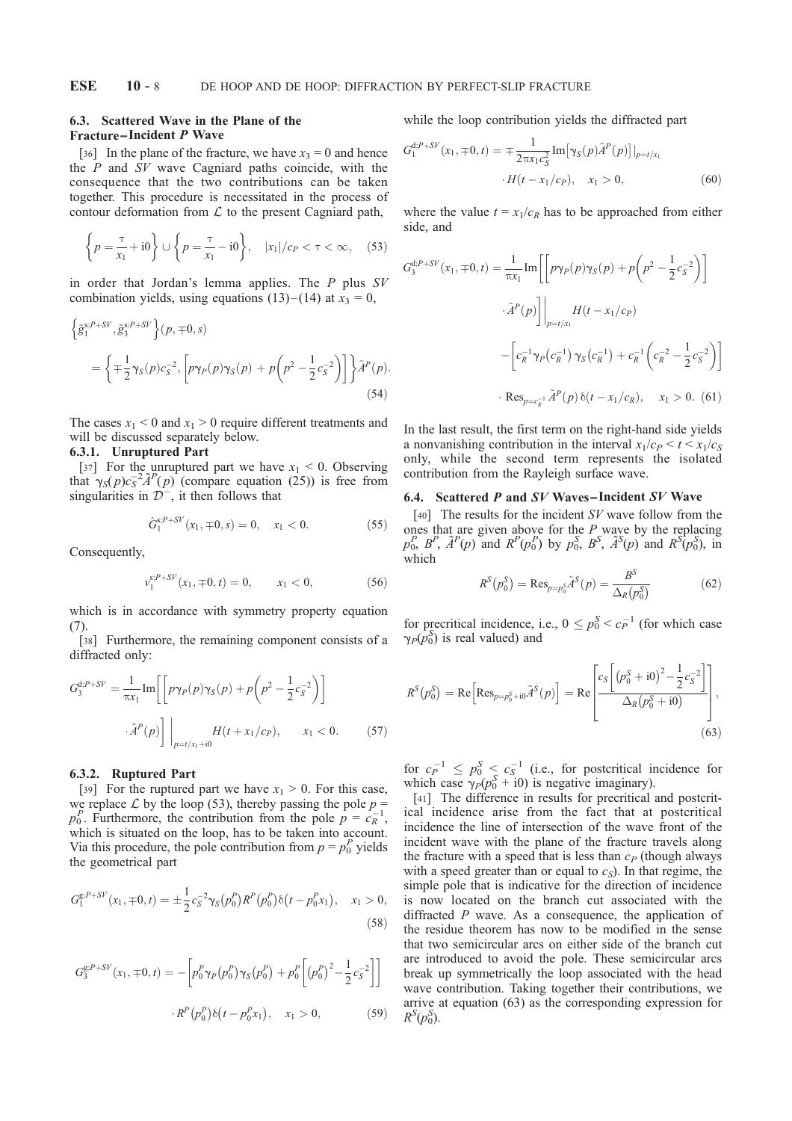## 6.3. Scattered Wave in the Plane of the Fracture– Incident P Wave

[36] In the plane of the fracture, we have  $x_3 = 0$  and hence the  $P$  and  $SV$  wave Cagniard paths coincide, with the consequence that the two contributions can be taken together. This procedure is necessitated in the process of contour deformation from  $\mathcal L$  to the present Cagniard path,

$$
\left\{ p = \frac{\tau}{x_1} + i0 \right\} \cup \left\{ p = \frac{\tau}{x_1} - i0 \right\}, \quad |x_1|/c_P < \tau < \infty, \quad (53)
$$

in order that Jordan's lemma applies. The  $P$  plus  $SV$ combination yields, using equations (13)–(14) at  $x_3 = 0$ ,

$$
\begin{split} \Big\{\tilde{g}_{1}^{s;P+SV},\tilde{g}_{3}^{s;P+SV}\Big\} (p,\mp 0,s) \\ &= \Big\{\mp \frac{1}{2} \gamma_{S}(p) c_{S}^{-2}, \Big[ p \gamma_{P}(p) \gamma_{S}(p) + p \Big( p^{2} - \frac{1}{2} c_{S}^{-2} \Big) \Big] \Big\} \tilde{A}^{P}(p). \end{split} \tag{54}
$$

The cases  $x_1 < 0$  and  $x_1 > 0$  require different treatments and will be discussed separately below.

## 6.3.1. Unruptured Part

[37] For the unruptured part we have  $x_1 < 0$ . Observing that  $\gamma_S(p)c_S^{-2} \tilde{A}^P(p)$  (compare equation (25)) is free from singularities in  $\overline{\mathcal{D}}^-$ , it then follows that

$$
\hat{G}_1^{s;P+SV}(x_1,\mp 0,s) = 0, \quad x_1 < 0. \tag{55}
$$

Consequently,

$$
v_1^{s;P+SV}(x_1,\mp 0,t)=0, \qquad x_1<0,\tag{56}
$$

which is in accordance with symmetry property equation (7).

[38] Furthermore, the remaining component consists of a diffracted only:

$$
G_3^{\text{d};P+SV} = \frac{1}{\pi x_1} \text{Im} \left[ \left[ p\gamma_P(p)\gamma_S(p) + p\left(p^2 - \frac{1}{2}c_S^{-2}\right) \right] \right.
$$

$$
\tilde{A}^P(p) \right] \Big|_{p=t/x_1+i0} H(t+x_1/c_P), \qquad x_1 < 0. \tag{57}
$$

## 6.3.2. Ruptured Part

[39] For the ruptured part we have  $x_1 > 0$ . For this case, we replace  $\mathcal L$  by the loop (53), thereby passing the pole  $p =$  $p_0^P$ . Furthermore, the contribution from the pole  $p = c_R^{-1}$ , which is situated on the loop, has to be taken into account. Via this procedure, the pole contribution from  $p = p_0^P$  yields the geometrical part

$$
G_1^{g;P+SV}(x_1,\mp 0,t) = \pm \frac{1}{2} c_S^{-2} \gamma_S(p_0^P) R^P(p_0^P) \delta(t - p_0^P x_1), \quad x_1 > 0,
$$
\n(58)

$$
G_3^{g,P+SV}(x_1, \mp 0, t) = -\left[p_0^P \gamma_P(p_0^P) \gamma_S(p_0^P) + p_0^P \left[(p_0^P)^2 - \frac{1}{2}c_S^{-2}\right]\right]
$$

$$
R^P(p_0^P)\delta(t - p_0^P x_1), \quad x_1 > 0,
$$
 (59)

while the loop contribution yields the diffracted part

$$
G_1^{d;P+SV}(x_1, \mp 0, t) = \mp \frac{1}{2\pi x_1 c_S^2} Im[\gamma_S(p)\tilde{A}^P(p)]|_{p=t/x_1}
$$
  
 
$$
\cdot H(t - x_1/c_P), \quad x_1 > 0,
$$
 (60)

where the value  $t = x_1/c_R$  has to be approached from either side, and

$$
G_3^{\text{d};P+SV}(x_1, \pm 0, t) = \frac{1}{\pi x_1} \text{Im} \left[ \left[ p\gamma_P(p)\gamma_S(p) + p \left( p^2 - \frac{1}{2} c_S^{-2} \right) \right] \right.
$$

$$
\left. \tilde{A}^P(p) \right] \Big|_{p=t/x_1} H(t - x_1/c_P)
$$

$$
- \left[ c_R^{-1} \gamma_P(c_R^{-1}) \gamma_S(c_R^{-1}) + c_R^{-1} \left( c_R^{-2} - \frac{1}{2} c_S^{-2} \right) \right]
$$

$$
\cdot \text{Res}_{p=c_R^{-1}} \tilde{A}^P(p) \delta(t - x_1/c_R), \quad x_1 > 0. \tag{61}
$$

In the last result, the first term on the right-hand side yields a nonvanishing contribution in the interval  $x_1/c_P < t < x_1/c_S$ only, while the second term represents the isolated contribution from the Rayleigh surface wave.

#### 6.4. Scattered  $P$  and  $SV$  Waves–Incident  $SV$  Wave

[40] The results for the incident  $SV$  wave follow from the ones that are given above for the  $P$  wave by the replacing  $p_0^P$ ,  $\tilde{A}^P(p)$  and  $R^P(p_0^P)$  by  $p_0^S$ ,  $B^S$ ,  $\tilde{A}^S(p)$  and  $R^S(p_0^S)$ , in which

$$
R^{S}(p_{0}^{S}) = \text{Res}_{p=p_{0}^{S}}\tilde{A}^{S}(p) = \frac{B^{S}}{\Delta_{R}(p_{0}^{S})}
$$
(62)

for precritical incidence, i.e.,  $0 \le p_0^S \le c_P^{-1}$  (for which case  $\gamma_P(p_0^S)$  is real valued) and

$$
R^{S}(p_{0}^{S}) = \operatorname{Re}\left[\operatorname{Res}_{p=p_{0}^{S}+i0}\tilde{A}^{S}(p)\right] = \operatorname{Re}\left[\frac{c_{S}\left[\left(p_{0}^{S}+i0\right)^{2}-\frac{1}{2}c_{S}^{-2}\right]}{\Delta_{R}\left(p_{0}^{S}+i0\right)}\right],\tag{63}
$$

for  $c_P^{-1} \le p_0^S \le c_S^{-1}$  (i.e., for postcritical incidence for which case  $\gamma_P(p_0^S + i0)$  is negative imaginary).

[41] The difference in results for precritical and postcritical incidence arise from the fact that at postcritical incidence the line of intersection of the wave front of the incident wave with the plane of the fracture travels along the fracture with a speed that is less than  $c_P$  (though always with a speed greater than or equal to  $c_s$ ). In that regime, the simple pole that is indicative for the direction of incidence is now located on the branch cut associated with the diffracted  $P$  wave. As a consequence, the application of the residue theorem has now to be modified in the sense that two semicircular arcs on either side of the branch cut are introduced to avoid the pole. These semicircular arcs break up symmetrically the loop associated with the head wave contribution. Taking together their contributions, we arrive at equation (63) as the corresponding expression for  $R^S(p_0^S)$ .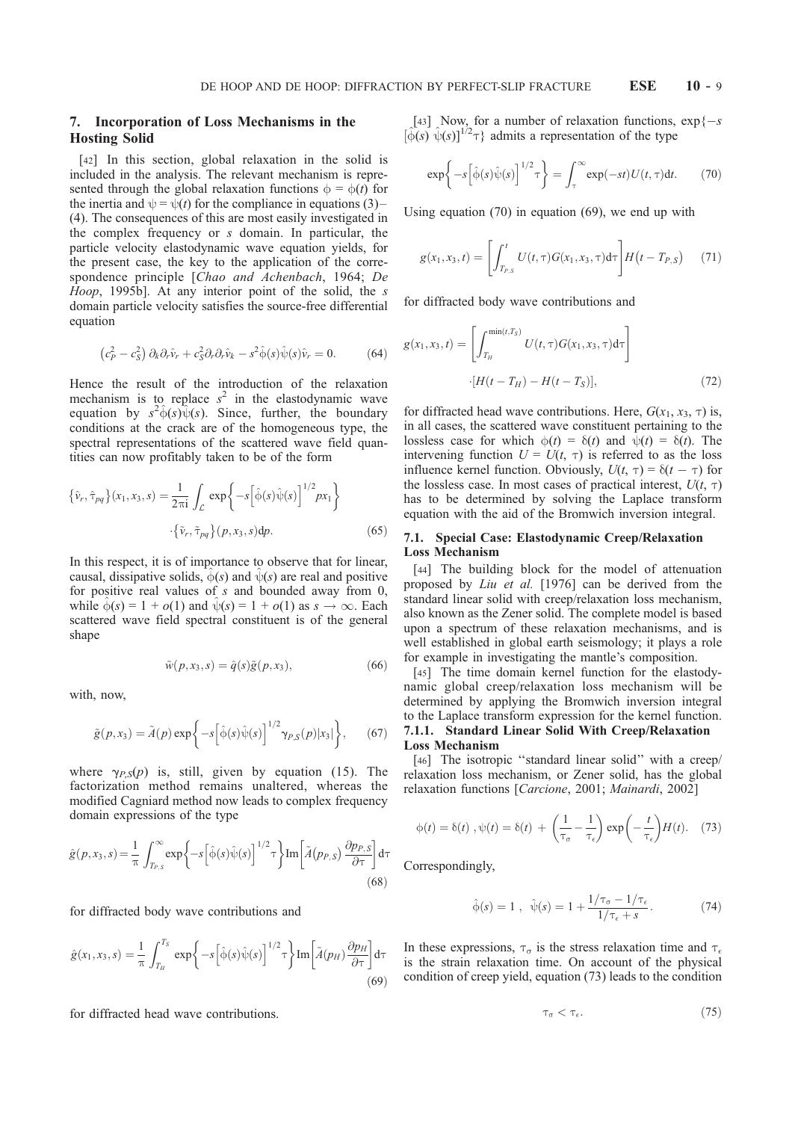# 7. Incorporation of Loss Mechanisms in the Hosting Solid

[42] In this section, global relaxation in the solid is included in the analysis. The relevant mechanism is represented through the global relaxation functions  $\phi = \phi(t)$  for the inertia and  $\psi = \psi(t)$  for the compliance in equations (3)– (4). The consequences of this are most easily investigated in the complex frequency or s domain. In particular, the particle velocity elastodynamic wave equation yields, for the present case, the key to the application of the correspondence principle [Chao and Achenbach, 1964; De Hoop, 1995b]. At any interior point of the solid, the s domain particle velocity satisfies the source-free differential equation

$$
\left(c_P^2 - c_S^2\right)\partial_k\partial_r\hat{v}_r + c_S^2\partial_r\partial_r\hat{v}_k - s^2\hat{\varphi}(s)\hat{\psi}(s)\hat{v}_r = 0.
$$
 (64)

Hence the result of the introduction of the relaxation mechanism is to replace  $s^2$  in the elastodynamic wave equation by  $s^2 \hat{\phi}(s) \hat{\psi}(s)$ . Since, further, the boundary conditions at the crack are of the homogeneous type, the spectral representations of the scattered wave field quantities can now profitably taken to be of the form

$$
\{\hat{v}_r, \hat{\tau}_{pq}\}(x_1, x_3, s) = \frac{1}{2\pi i} \int_{\mathcal{L}} \exp\left\{-s\left[\hat{\varphi}(s)\hat{\psi}(s)\right]^{1/2} px_1\right\}
$$

$$
\cdot \{\tilde{v}_r, \tilde{\tau}_{pq}\}(p, x_3, s) dp. \tag{65}
$$

In this respect, it is of importance to observe that for linear, causal, dissipative solids,  $\hat{\phi}(s)$  and  $\hat{\psi}(s)$  are real and positive for positive real values of s and bounded away from 0, while  $\hat{\phi}(s) = 1 + o(1)$  and  $\hat{\psi}(s) = 1 + o(1)$  as  $s \to \infty$ . Each scattered wave field spectral constituent is of the general shape

$$
\tilde{w}(p, x_3, s) = \hat{q}(s)\tilde{g}(p, x_3),\tag{66}
$$

with, now,

$$
\tilde{g}(p,x_3) = \tilde{A}(p) \exp\bigg\{-s\big[\hat{\varphi}(s)\hat{\psi}(s)\big]^{1/2} \gamma_{P,S}(p)|x_3|\bigg\},\qquad(67)
$$

where  $\gamma_{P,S}(p)$  is, still, given by equation (15). The factorization method remains unaltered, whereas the modified Cagniard method now leads to complex frequency domain expressions of the type

$$
\hat{g}(p,x_3,s) = \frac{1}{\pi} \int_{T_{P,S}}^{\infty} \exp\left\{-s\left[\hat{\varphi}(s)\hat{\psi}(s)\right]^{1/2}\tau\right\} \operatorname{Im}\left[\tilde{A}(p_{P,S})\frac{\partial p_{P,S}}{\partial \tau}\right] d\tau
$$
\n(68)

for diffracted body wave contributions and

$$
\hat{g}(x_1, x_3, s) = \frac{1}{\pi} \int_{T_H}^{T_S} \exp\left\{-s \left[\hat{\varphi}(s)\hat{\psi}(s)\right]^{1/2} \tau\right\} \text{Im}\left[\tilde{A}(p_H) \frac{\partial p_H}{\partial \tau}\right] \text{d}\tau
$$
\n(69)

for diffracted head wave contributions.

[43] Now, for a number of relaxation functions,  $\exp\{-s\}$  $[\hat{\phi}(s) \hat{\psi}(s)]^{1/2} \tau$ } admits a representation of the type

$$
\exp\bigg\{-s\Big[\hat{\varphi}(s)\hat{\psi}(s)\Big]^{1/2}\tau\bigg\} = \int_{\tau}^{\infty} \exp(-st)U(t,\tau)dt. \tag{70}
$$

Using equation (70) in equation (69), we end up with

$$
g(x_1, x_3, t) = \left[ \int_{T_{P,S}}^t U(t, \tau) G(x_1, x_3, \tau) d\tau \right] H(t - T_{P,S}) \tag{71}
$$

for diffracted body wave contributions and

$$
g(x_1, x_3, t) = \left[ \int_{T_H}^{\min(t, T_S)} U(t, \tau) G(x_1, x_3, \tau) d\tau \right]
$$

$$
\cdot [H(t - T_H) - H(t - T_S)], \tag{72}
$$

for diffracted head wave contributions. Here,  $G(x_1, x_3, \tau)$  is, in all cases, the scattered wave constituent pertaining to the lossless case for which  $\phi(t) = \delta(t)$  and  $\psi(t) = \delta(t)$ . The intervening function  $U = U(t, \tau)$  is referred to as the loss influence kernel function. Obviously,  $U(t, \tau) = \delta(t - \tau)$  for the lossless case. In most cases of practical interest,  $U(t, \tau)$ has to be determined by solving the Laplace transform equation with the aid of the Bromwich inversion integral.

## 7.1. Special Case: Elastodynamic Creep/Relaxation Loss Mechanism

[44] The building block for the model of attenuation proposed by Liu et al. [1976] can be derived from the standard linear solid with creep/relaxation loss mechanism, also known as the Zener solid. The complete model is based upon a spectrum of these relaxation mechanisms, and is well established in global earth seismology; it plays a role for example in investigating the mantle's composition.

[45] The time domain kernel function for the elastodynamic global creep/relaxation loss mechanism will be determined by applying the Bromwich inversion integral to the Laplace transform expression for the kernel function. 7.1.1. Standard Linear Solid With Creep/Relaxation Loss Mechanism

[46] The isotropic "standard linear solid" with a creep/ relaxation loss mechanism, or Zener solid, has the global relaxation functions [Carcione, 2001; Mainardi, 2002]

$$
\phi(t) = \delta(t), \psi(t) = \delta(t) + \left(\frac{1}{\tau_{\sigma}} - \frac{1}{\tau_{\epsilon}}\right) \exp\left(-\frac{t}{\tau_{\epsilon}}\right) H(t). \quad (73)
$$

Correspondingly,

$$
\hat{\phi}(s) = 1
$$
,  $\hat{\psi}(s) = 1 + \frac{1/\tau_{\sigma} - 1/\tau_{\epsilon}}{1/\tau_{\epsilon} + s}$ . (74)

In these expressions,  $\tau_{\sigma}$  is the stress relaxation time and  $\tau_{\epsilon}$ is the strain relaxation time. On account of the physical condition of creep yield, equation (73) leads to the condition

$$
\tau_{\sigma} < \tau_{\epsilon}.\tag{75}
$$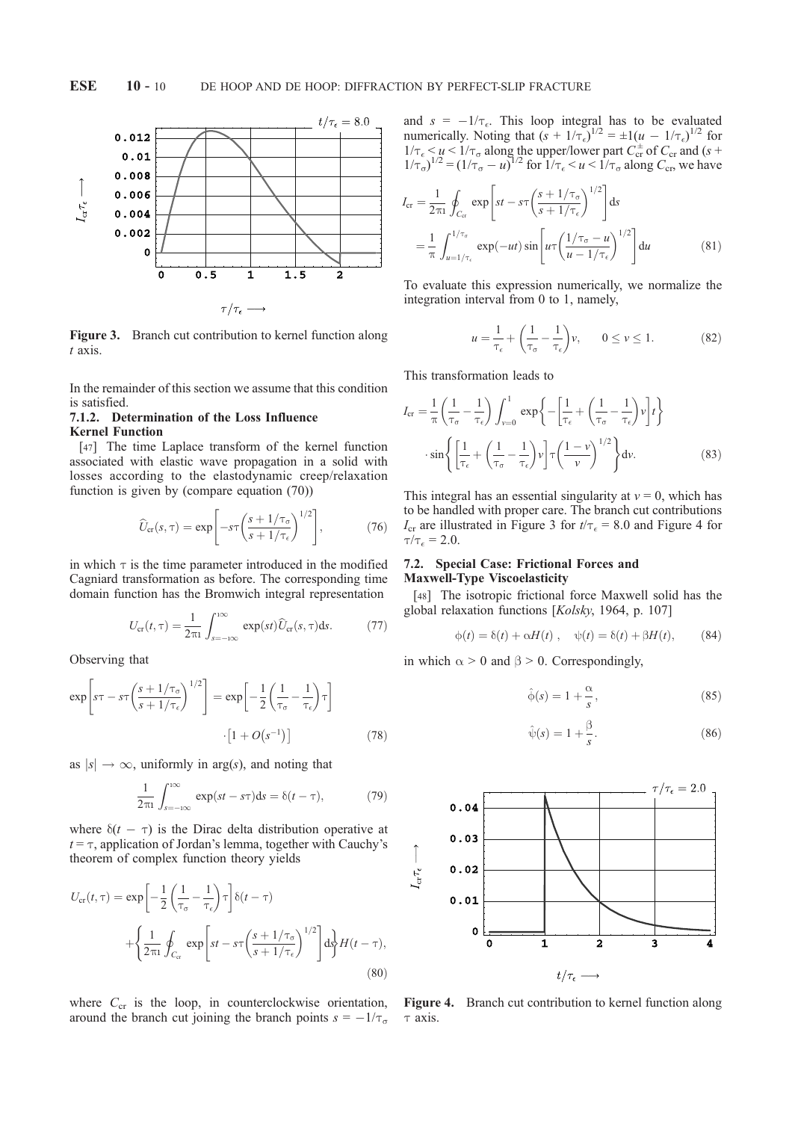

Figure 3. Branch cut contribution to kernel function along t axis.

In the remainder of this section we assume that this condition is satisfied.

# 7.1.2. Determination of the Loss Influence Kernel Function

[47] The time Laplace transform of the kernel function associated with elastic wave propagation in a solid with losses according to the elastodynamic creep/relaxation function is given by (compare equation (70))

$$
\widehat{U}_{\rm cr}(s,\tau) = \exp\left[-s\tau \left(\frac{s + 1/\tau_{\sigma}}{s + 1/\tau_{\epsilon}}\right)^{1/2}\right],\tag{76}
$$

in which  $\tau$  is the time parameter introduced in the modified Cagniard transformation as before. The corresponding time domain function has the Bromwich integral representation

$$
U_{\rm cr}(t,\tau) = \frac{1}{2\pi i} \int_{s=-i\infty}^{i\infty} \exp(st) \widehat{U}_{\rm cr}(s,\tau) \mathrm{d}s. \tag{77}
$$

Observing that

$$
\exp\left[s\tau - s\tau \left(\frac{s + 1/\tau_{\sigma}}{s + 1/\tau_{\epsilon}}\right)^{1/2}\right] = \exp\left[-\frac{1}{2}\left(\frac{1}{\tau_{\sigma}} - \frac{1}{\tau_{\epsilon}}\right)\tau\right]
$$

$$
\cdot \left[1 + O(s^{-1})\right] \tag{78}
$$

as  $|s| \to \infty$ , uniformly in arg(s), and noting that

$$
\frac{1}{2\pi i} \int_{s=-i\infty}^{i\infty} \exp(st - s\tau) \mathrm{d}s = \delta(t - \tau), \tag{79}
$$

where  $\delta(t - \tau)$  is the Dirac delta distribution operative at  $t = \tau$ , application of Jordan's lemma, together with Cauchy's theorem of complex function theory yields

$$
U_{\text{cr}}(t,\tau) = \exp\left[-\frac{1}{2}\left(\frac{1}{\tau_{\sigma}} - \frac{1}{\tau_{\epsilon}}\right)\tau\right]\delta(t-\tau)
$$

$$
+ \left\{\frac{1}{2\pi i}\oint_{C_{\text{cr}}}\exp\left[st - s\tau\left(\frac{s+1/\tau_{\sigma}}{s+1/\tau_{\epsilon}}\right)^{1/2}\right]ds\right\}H(t-\tau),\tag{80}
$$

where  $C_{cr}$  is the loop, in counterclockwise orientation, around the branch cut joining the branch points  $s = -1/\tau_{\sigma}$  and  $s = -1/\tau_{\epsilon}$ . This loop integral has to be evaluated numerically. Noting that  $(s + 1/\tau_{\epsilon})^{1/2} = \pm 1(u - 1/\tau_{\epsilon})^{1/2}$  for  $1/\tau_{\epsilon} < u < 1/\tau_{\sigma}$  along the upper/lower part  $C_{cr}^{\pm}$  of  $C_{cr}$  and (s +  $1/\tau_{\sigma}$ )<sup>1/2</sup> =  $(1/\tau_{\sigma} - u)^{1/2}$  for  $1/\tau_{\epsilon} < u < 1/\tau_{\sigma}$  along  $C_{\rm cr}$ , we have

$$
I_{\rm cr} = \frac{1}{2\pi i} \oint_{C_{\rm cr}} \exp\left[ st - s\tau \left( \frac{s + 1/\tau_{\sigma}}{s + 1/\tau_{\epsilon}} \right)^{1/2} \right] ds
$$
  
= 
$$
\frac{1}{\pi} \int_{u = 1/\tau_{\epsilon}}^{1/\tau_{\sigma}} \exp(-ut) \sin\left[ u\tau \left( \frac{1/\tau_{\sigma} - u}{u - 1/\tau_{\epsilon}} \right)^{1/2} \right] du
$$
(81)

To evaluate this expression numerically, we normalize the integration interval from 0 to 1, namely,

$$
u = \frac{1}{\tau_{\epsilon}} + \left(\frac{1}{\tau_{\sigma}} - \frac{1}{\tau_{\epsilon}}\right)v, \qquad 0 \le v \le 1.
$$
 (82)

This transformation leads to

$$
I_{\rm cr} = \frac{1}{\pi} \left( \frac{1}{\tau_{\sigma}} - \frac{1}{\tau_{\epsilon}} \right) \int_{\nu=0}^{1} \exp \left\{ - \left[ \frac{1}{\tau_{\epsilon}} + \left( \frac{1}{\tau_{\sigma}} - \frac{1}{\tau_{\epsilon}} \right) \nu \right] t \right\}
$$

$$
\cdot \sin \left\{ \left[ \frac{1}{\tau_{\epsilon}} + \left( \frac{1}{\tau_{\sigma}} - \frac{1}{\tau_{\epsilon}} \right) \nu \right] \tau \left( \frac{1 - \nu}{\nu} \right)^{1/2} \right\} d\nu.
$$
(83)

This integral has an essential singularity at  $v = 0$ , which has to be handled with proper care. The branch cut contributions  $I_{cr}$  are illustrated in Figure 3 for  $t/\tau_{\epsilon} = 8.0$  and Figure 4 for  $\tau/\tau_{\epsilon} = 2.0.$ 

#### 7.2. Special Case: Frictional Forces and Maxwell-Type Viscoelasticity

[48] The isotropic frictional force Maxwell solid has the global relaxation functions [Kolsky, 1964, p. 107]

$$
\phi(t) = \delta(t) + \alpha H(t) , \quad \psi(t) = \delta(t) + \beta H(t), \quad (84)
$$

in which  $\alpha > 0$  and  $\beta > 0$ . Correspondingly,

$$
\hat{\varphi}(s) = 1 + \frac{\alpha}{s},\tag{85}
$$

$$
\hat{\psi}(s) = 1 + \frac{\beta}{s}.\tag{86}
$$



Figure 4. Branch cut contribution to kernel function along  $\tau$  axis.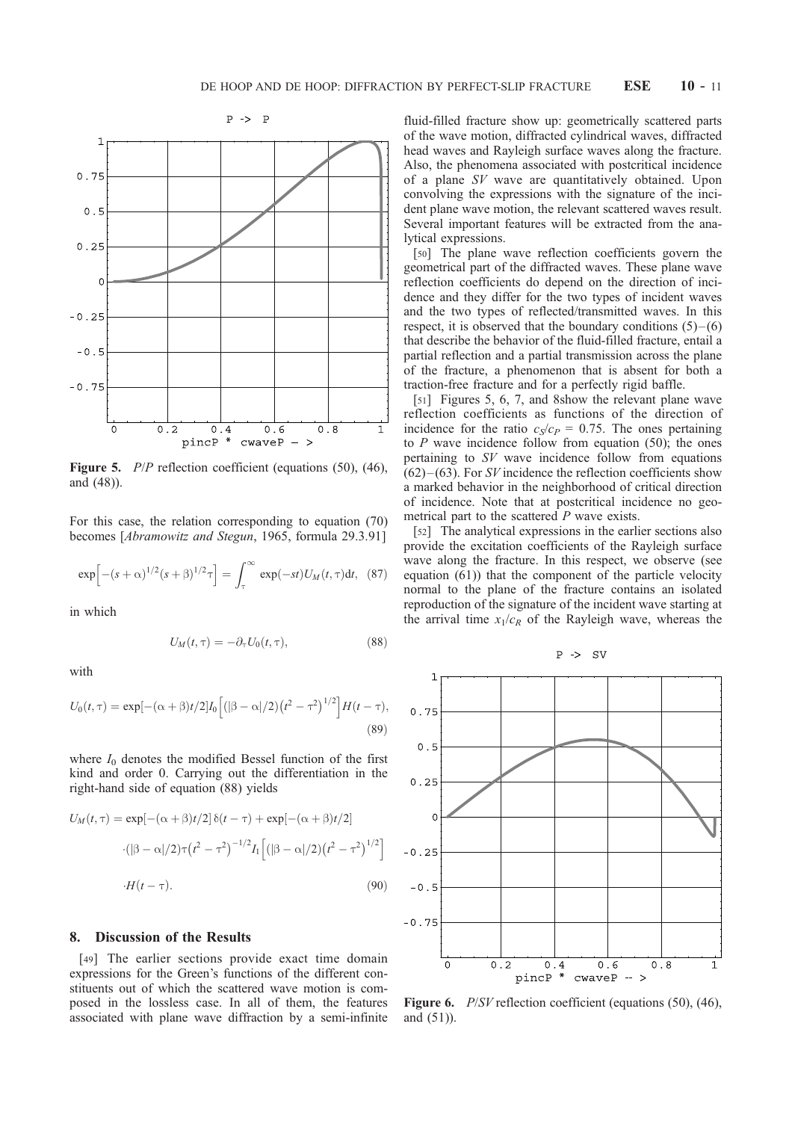

Figure 5. *P/P* reflection coefficient (equations (50), (46), and (48)).

For this case, the relation corresponding to equation (70) becomes [Abramowitz and Stegun, 1965, formula 29.3.91]

$$
\exp\left[-(s+\alpha)^{1/2}(s+\beta)^{1/2}\tau\right] = \int_{\tau}^{\infty} \exp(-st)U_M(t,\tau)dt, \quad (87)
$$

in which

$$
U_M(t,\tau) = -\partial_\tau U_0(t,\tau),\tag{88}
$$

with

$$
U_0(t,\tau) = \exp[-(\alpha+\beta)t/2]I_0[(|\beta-\alpha|/2)(t^2-\tau^2)^{1/2}]H(t-\tau),
$$
\n(89)

where  $I_0$  denotes the modified Bessel function of the first kind and order 0. Carrying out the differentiation in the right-hand side of equation (88) yields

$$
U_M(t,\tau) = \exp[-(\alpha+\beta)t/2] \,\delta(t-\tau) + \exp[-(\alpha+\beta)t/2]
$$

$$
\cdot (|\beta-\alpha|/2)\tau(t^2-\tau^2)^{-1/2}I_1\left[ (|\beta-\alpha|/2)(t^2-\tau^2)^{1/2} \right]
$$

$$
\cdot H(t-\tau).
$$
 (90)

### 8. Discussion of the Results

[49] The earlier sections provide exact time domain expressions for the Green's functions of the different constituents out of which the scattered wave motion is composed in the lossless case. In all of them, the features associated with plane wave diffraction by a semi-infinite

fluid-filled fracture show up: geometrically scattered parts of the wave motion, diffracted cylindrical waves, diffracted head waves and Rayleigh surface waves along the fracture. Also, the phenomena associated with postcritical incidence of a plane SV wave are quantitatively obtained. Upon convolving the expressions with the signature of the incident plane wave motion, the relevant scattered waves result. Several important features will be extracted from the analytical expressions.

[50] The plane wave reflection coefficients govern the geometrical part of the diffracted waves. These plane wave reflection coefficients do depend on the direction of incidence and they differ for the two types of incident waves and the two types of reflected/transmitted waves. In this respect, it is observed that the boundary conditions  $(5)$ – $(6)$ that describe the behavior of the fluid-filled fracture, entail a partial reflection and a partial transmission across the plane of the fracture, a phenomenon that is absent for both a traction-free fracture and for a perfectly rigid baffle.

[51] Figures 5, 6, 7, and 8show the relevant plane wave reflection coefficients as functions of the direction of incidence for the ratio  $c_S/c_P = 0.75$ . The ones pertaining to  $P$  wave incidence follow from equation (50); the ones pertaining to SV wave incidence follow from equations  $(62)$ – $(63)$ . For *SV* incidence the reflection coefficients show a marked behavior in the neighborhood of critical direction of incidence. Note that at postcritical incidence no geometrical part to the scattered  $P$  wave exists.

[52] The analytical expressions in the earlier sections also provide the excitation coefficients of the Rayleigh surface wave along the fracture. In this respect, we observe (see equation  $(61)$ ) that the component of the particle velocity normal to the plane of the fracture contains an isolated reproduction of the signature of the incident wave starting at the arrival time  $x_1/c_R$  of the Rayleigh wave, whereas the





Figure 6. *P/SV* reflection coefficient (equations (50), (46), and (51)).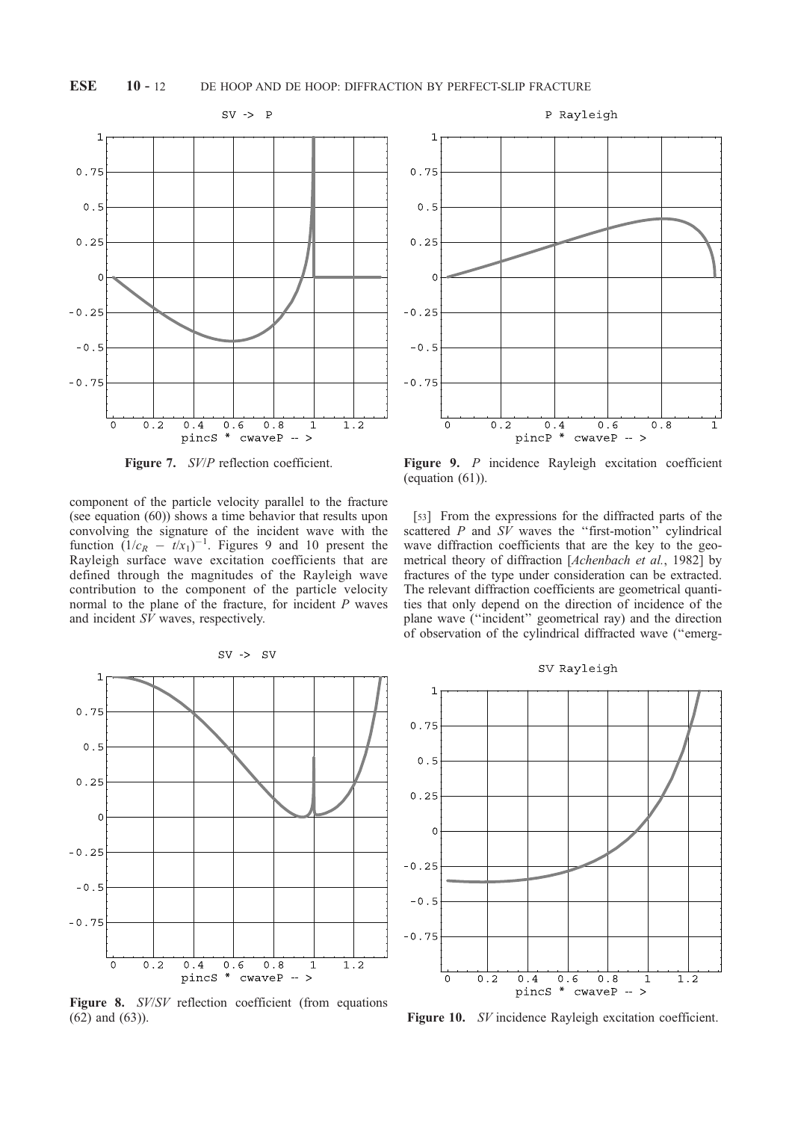

Figure 7. SV/P reflection coefficient.

component of the particle velocity parallel to the fracture (see equation (60)) shows a time behavior that results upon convolving the signature of the incident wave with the function  $(1/c_R - t/x_1)^{-1}$ . Figures 9 and 10 present the Rayleigh surface wave excitation coefficients that are defined through the magnitudes of the Rayleigh wave contribution to the component of the particle velocity normal to the plane of the fracture, for incident P waves and incident  $S\hat{V}$  waves, respectively.



Figure 9. P incidence Rayleigh excitation coefficient (equation  $(61)$ ).

[53] From the expressions for the diffracted parts of the scattered  $P$  and  $S_V$  waves the "first-motion" cylindrical wave diffraction coefficients that are the key to the geometrical theory of diffraction [Achenbach et al., 1982] by fractures of the type under consideration can be extracted. The relevant diffraction coefficients are geometrical quantities that only depend on the direction of incidence of the plane wave (''incident'' geometrical ray) and the direction of observation of the cylindrical diffracted wave (''emerg-



Figure 8. SV/SV reflection coefficient (from equations (62) and (63)).





Figure 10. SV incidence Rayleigh excitation coefficient.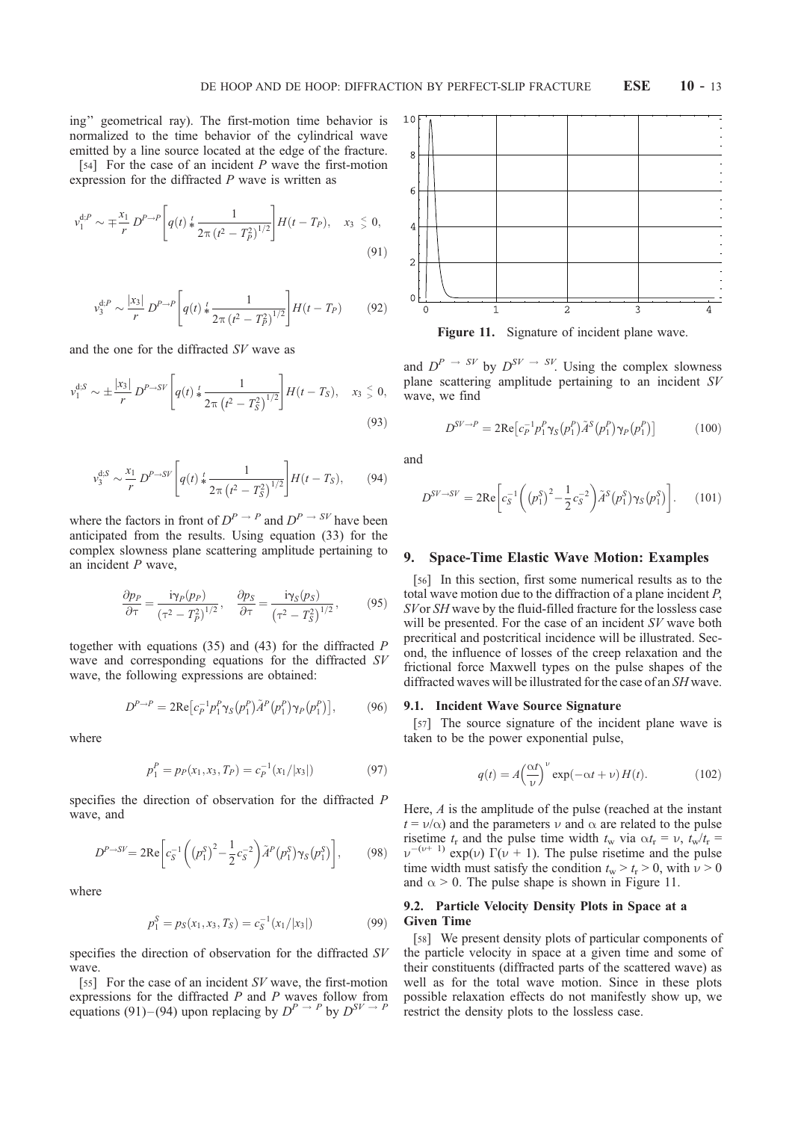ing'' geometrical ray). The first-motion time behavior is normalized to the time behavior of the cylindrical wave emitted by a line source located at the edge of the fracture.

[54] For the case of an incident  $P$  wave the first-motion expression for the diffracted P wave is written as

$$
v_1^{d,P} \sim \mp \frac{x_1}{r} D^{P \to P} \left[ q(t) \ast \frac{1}{2\pi (t^2 - T_P^2)^{1/2}} \right] H(t - T_P), \quad x_3 \leq 0,
$$
\n(91)

$$
v_3^{d,P} \sim \frac{|x_3|}{r} D^{P \to P} \left[ q(t) * \frac{1}{2\pi (t^2 - T_P^2)^{1/2}} \right] H(t - T_P) \tag{92}
$$

and the one for the diffracted SV wave as

$$
v_1^{d,S} \sim \pm \frac{|x_3|}{r} D^{P \to SV} \left[ q(t) \frac{t}{2\pi} \frac{1}{(t^2 - T_S^2)^{1/2}} \right] H(t - T_S), \quad x_3 \leq 0,
$$
\n(93)

$$
v_3^{d,S} \sim \frac{x_1}{r} D^{P \to SV} \left[ q(t) \frac{t}{2\pi \left( t^2 - T_S^2 \right)^{1/2}} \right] H(t - T_S), \tag{94}
$$

where the factors in front of  $D^{P \to P}$  and  $D^{P \to SP}$  have been anticipated from the results. Using equation (33) for the complex slowness plane scattering amplitude pertaining to an incident P wave,

$$
\frac{\partial p_P}{\partial \tau} = \frac{\mathbf{i}\gamma_P(p_P)}{\left(\tau^2 - T_P^2\right)^{1/2}}, \quad \frac{\partial p_S}{\partial \tau} = \frac{\mathbf{i}\gamma_S(p_S)}{\left(\tau^2 - T_S^2\right)^{1/2}},\tag{95}
$$

together with equations  $(35)$  and  $(43)$  for the diffracted P wave and corresponding equations for the diffracted SV wave, the following expressions are obtained:

$$
D^{P \to P} = 2\text{Re}\left[c_P^{-1} p_1^P \gamma_S(p_1^P) \tilde{A}^P(p_1^P) \gamma_P(p_1^P)\right],\tag{96}
$$

where

$$
p_1^P = p_P(x_1, x_3, T_P) = c_P^{-1}(x_1/|x_3|)
$$
\n(97)

specifies the direction of observation for the diffracted P wave, and

$$
D^{P \to SY} = 2\text{Re}\left[c_S^{-1}\left(\left(p_1^S\right)^2 - \frac{1}{2}c_S^{-2}\right)\tilde{A}^P\left(p_1^S\right)\gamma_S\left(p_1^S\right)\right],\tag{98}
$$

where

$$
p_1^S = p_S(x_1, x_3, T_S) = c_S^{-1}(x_1/|x_3|)
$$
\n(99)

specifies the direction of observation for the diffracted SV wave.

[55] For the case of an incident SV wave, the first-motion expressions for the diffracted  $P$  and  $P$  waves follow from equations (91)–(94) upon replacing by  $D^{P \to P}$  by  $D^{SV \to P}$ 



Figure 11. Signature of incident plane wave.

and  $D^{P} \rightarrow S^{V}$  by  $D^{SV} \rightarrow S^{V}$ . Using the complex slowness plane scattering amplitude pertaining to an incident SV wave, we find

$$
D^{SV \to P} = 2\text{Re}\left[c_P^{-1}p_1^P \gamma_S(p_1^P)\tilde{A}^S(p_1^P)\gamma_P(p_1^P)\right]
$$
 (100)

and

$$
D^{SV \to SV} = 2\text{Re}\left[c_S^{-1}\left(\left(p_1^S\right)^2 - \frac{1}{2}c_S^{-2}\right)\tilde{A}^S\left(p_1^S\right)\gamma_S\left(p_1^S\right)\right].\tag{101}
$$

#### 9. Space-Time Elastic Wave Motion: Examples

[56] In this section, first some numerical results as to the total wave motion due to the diffraction of a plane incident P, SV or SH wave by the fluid-filled fracture for the lossless case will be presented. For the case of an incident SV wave both precritical and postcritical incidence will be illustrated. Second, the influence of losses of the creep relaxation and the frictional force Maxwell types on the pulse shapes of the diffracted waves will be illustrated for the case of an SH wave.

#### 9.1. Incident Wave Source Signature

[57] The source signature of the incident plane wave is taken to be the power exponential pulse,

$$
q(t) = A \left(\frac{\alpha t}{\nu}\right)^{\nu} \exp(-\alpha t + \nu) H(t).
$$
 (102)

Here, A is the amplitude of the pulse (reached at the instant  $t = v/\alpha$ ) and the parameters v and  $\alpha$  are related to the pulse risetime  $t_r$  and the pulse time width  $t_w$  via  $\alpha t_r = v$ ,  $t_w/t_r =$  $\nu^{-(\nu+1)}$  exp(v)  $\Gamma(\nu+1)$ . The pulse risetime and the pulse time width must satisfy the condition  $t_w > t_r > 0$ , with  $\nu > 0$ and  $\alpha > 0$ . The pulse shape is shown in Figure 11.

### 9.2. Particle Velocity Density Plots in Space at a Given Time

[58] We present density plots of particular components of the particle velocity in space at a given time and some of their constituents (diffracted parts of the scattered wave) as well as for the total wave motion. Since in these plots possible relaxation effects do not manifestly show up, we restrict the density plots to the lossless case.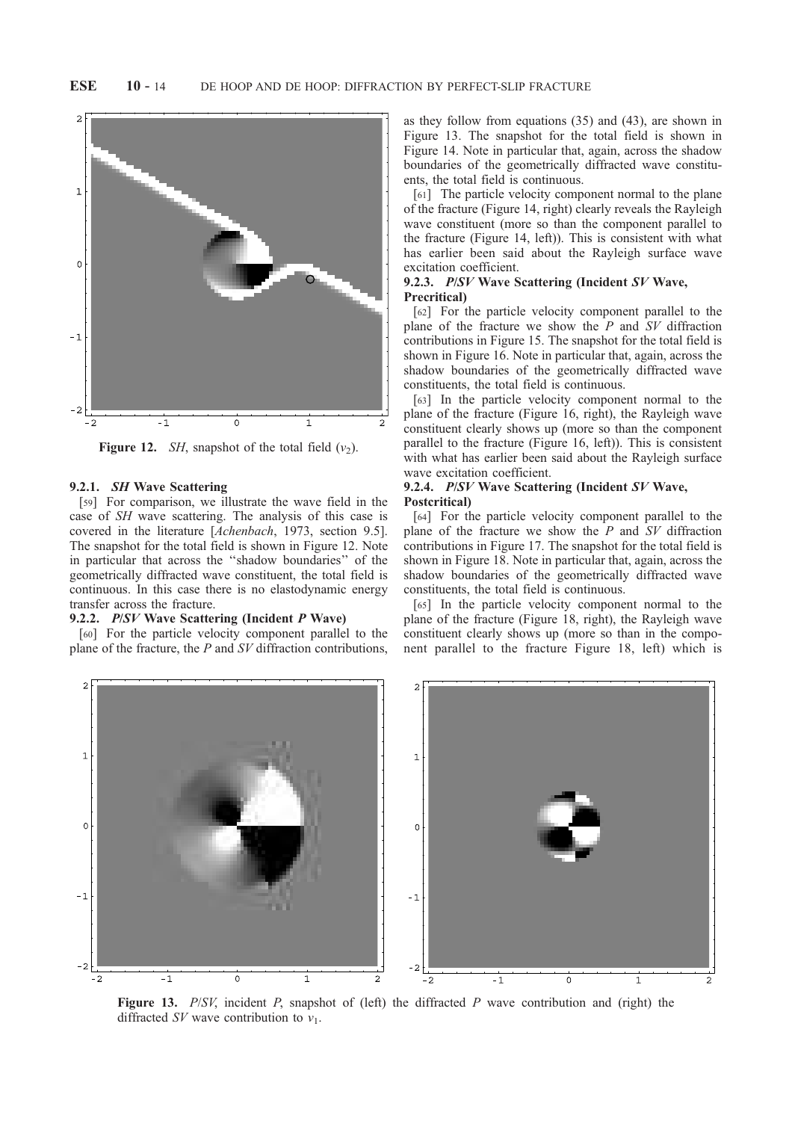

Figure 12. *SH*, snapshot of the total field  $(v_2)$ .

# 9.2.1. SH Wave Scattering

[59] For comparison, we illustrate the wave field in the case of SH wave scattering. The analysis of this case is covered in the literature [Achenbach, 1973, section 9.5]. The snapshot for the total field is shown in Figure 12. Note in particular that across the ''shadow boundaries'' of the geometrically diffracted wave constituent, the total field is continuous. In this case there is no elastodynamic energy transfer across the fracture.

# 9.2.2. P/SV Wave Scattering (Incident P Wave)

[60] For the particle velocity component parallel to the plane of the fracture, the  $P$  and  $SV$  diffraction contributions, as they follow from equations (35) and (43), are shown in Figure 13. The snapshot for the total field is shown in Figure 14. Note in particular that, again, across the shadow boundaries of the geometrically diffracted wave constituents, the total field is continuous.

[61] The particle velocity component normal to the plane of the fracture (Figure 14, right) clearly reveals the Rayleigh wave constituent (more so than the component parallel to the fracture (Figure 14, left)). This is consistent with what has earlier been said about the Rayleigh surface wave excitation coefficient.

# 9.2.3. P/SV Wave Scattering (Incident SV Wave, Precritical)

[62] For the particle velocity component parallel to the plane of the fracture we show the  $\overline{P}$  and  $\overline{S}V$  diffraction contributions in Figure 15. The snapshot for the total field is shown in Figure 16. Note in particular that, again, across the shadow boundaries of the geometrically diffracted wave constituents, the total field is continuous.

[63] In the particle velocity component normal to the plane of the fracture (Figure 16, right), the Rayleigh wave constituent clearly shows up (more so than the component parallel to the fracture (Figure 16, left)). This is consistent with what has earlier been said about the Rayleigh surface wave excitation coefficient.

# 9.2.4. P/SV Wave Scattering (Incident SV Wave, Postcritical)

[64] For the particle velocity component parallel to the plane of the fracture we show the  $\overline{P}$  and  $\overline{S}V$  diffraction contributions in Figure 17. The snapshot for the total field is shown in Figure 18. Note in particular that, again, across the shadow boundaries of the geometrically diffracted wave constituents, the total field is continuous.

[65] In the particle velocity component normal to the plane of the fracture (Figure 18, right), the Rayleigh wave constituent clearly shows up (more so than in the component parallel to the fracture Figure 18, left) which is



Figure 13.  $P/SV$ , incident P, snapshot of (left) the diffracted P wave contribution and (right) the diffracted SV wave contribution to  $v_1$ .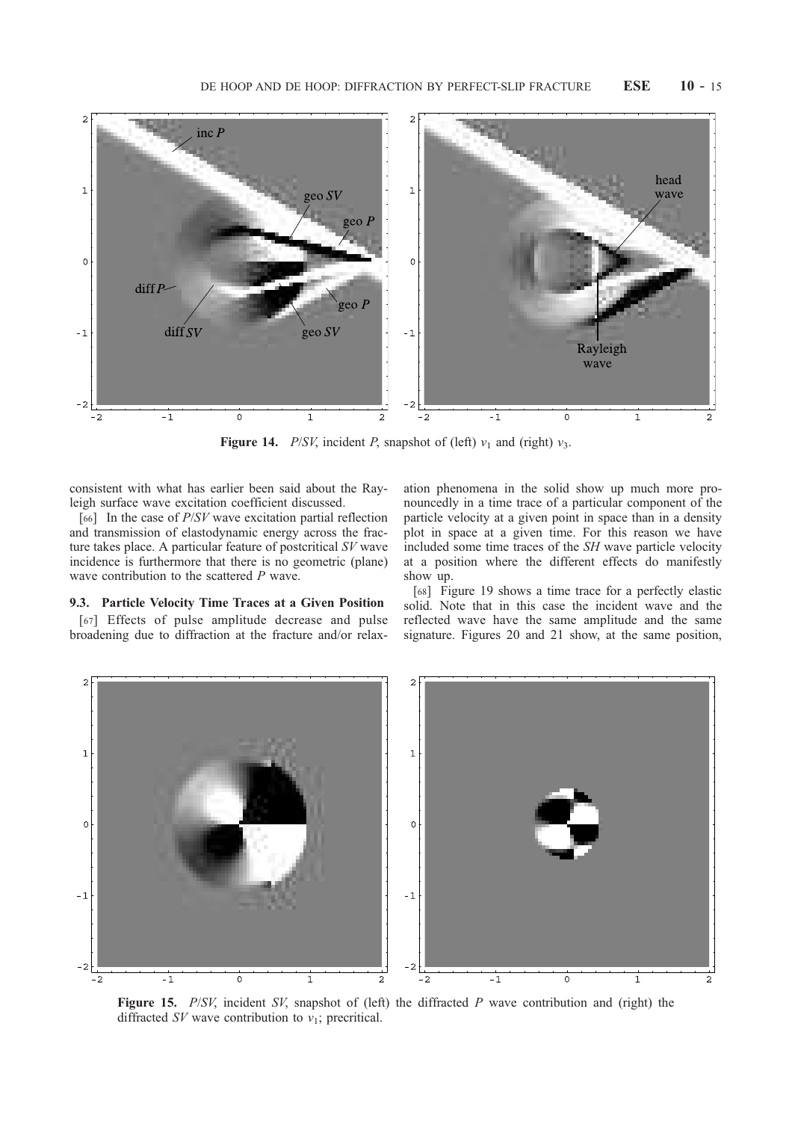

Figure 14. *P/SV*, incident *P*, snapshot of (left)  $v_1$  and (right)  $v_3$ .

consistent with what has earlier been said about the Rayleigh surface wave excitation coefficient discussed.

[66] In the case of  $P/SV$  wave excitation partial reflection and transmission of elastodynamic energy across the fracture takes place. A particular feature of postcritical SV wave incidence is furthermore that there is no geometric (plane) wave contribution to the scattered P wave.

# 9.3. Particle Velocity Time Traces at a Given Position

[67] Effects of pulse amplitude decrease and pulse broadening due to diffraction at the fracture and/or relax-

ation phenomena in the solid show up much more pronouncedly in a time trace of a particular component of the particle velocity at a given point in space than in a density plot in space at a given time. For this reason we have included some time traces of the SH wave particle velocity at a position where the different effects do manifestly show up.

[68] Figure 19 shows a time trace for a perfectly elastic solid. Note that in this case the incident wave and the reflected wave have the same amplitude and the same signature. Figures 20 and 21 show, at the same position,



Figure 15.  $P/SV$ , incident SV, snapshot of (left) the diffracted P wave contribution and (right) the diffracted  $SV$  wave contribution to  $v_1$ ; precritical.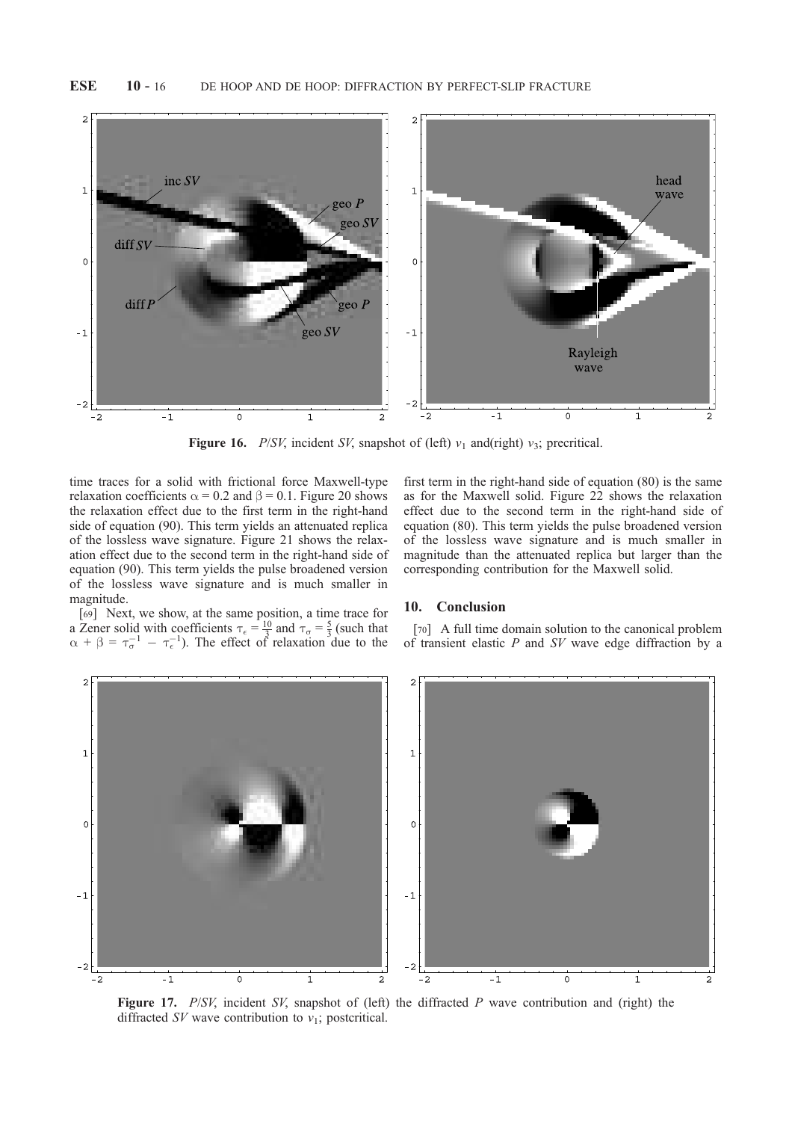

Figure 16. *P/SV*, incident *SV*, snapshot of (left)  $v_1$  and(right)  $v_3$ ; precritical.

time traces for a solid with frictional force Maxwell-type relaxation coefficients  $\alpha = 0.2$  and  $\beta = 0.1$ . Figure 20 shows the relaxation effect due to the first term in the right-hand side of equation (90). This term yields an attenuated replica of the lossless wave signature. Figure 21 shows the relaxation effect due to the second term in the right-hand side of equation (90). This term yields the pulse broadened version of the lossless wave signature and is much smaller in magnitude.

[69] Next, we show, at the same position, a time trace for a Zener solid with coefficients  $\tau_{\epsilon} = \frac{10}{3}$  and  $\tau_{\sigma} = \frac{5}{3}$  (such that  $\alpha + \beta = \tau_{\sigma}^{-1} - \tau_{\epsilon}^{-1}$ ). The effect of relaxation due to the

first term in the right-hand side of equation (80) is the same as for the Maxwell solid. Figure 22 shows the relaxation effect due to the second term in the right-hand side of equation (80). This term yields the pulse broadened version of the lossless wave signature and is much smaller in magnitude than the attenuated replica but larger than the corresponding contribution for the Maxwell solid.

# 10. Conclusion

[70] A full time domain solution to the canonical problem of transient elastic  $P$  and  $SV$  wave edge diffraction by a



Figure 17.  $P/SV$ , incident SV, snapshot of (left) the diffracted P wave contribution and (right) the diffracted SV wave contribution to  $v_1$ ; postcritical.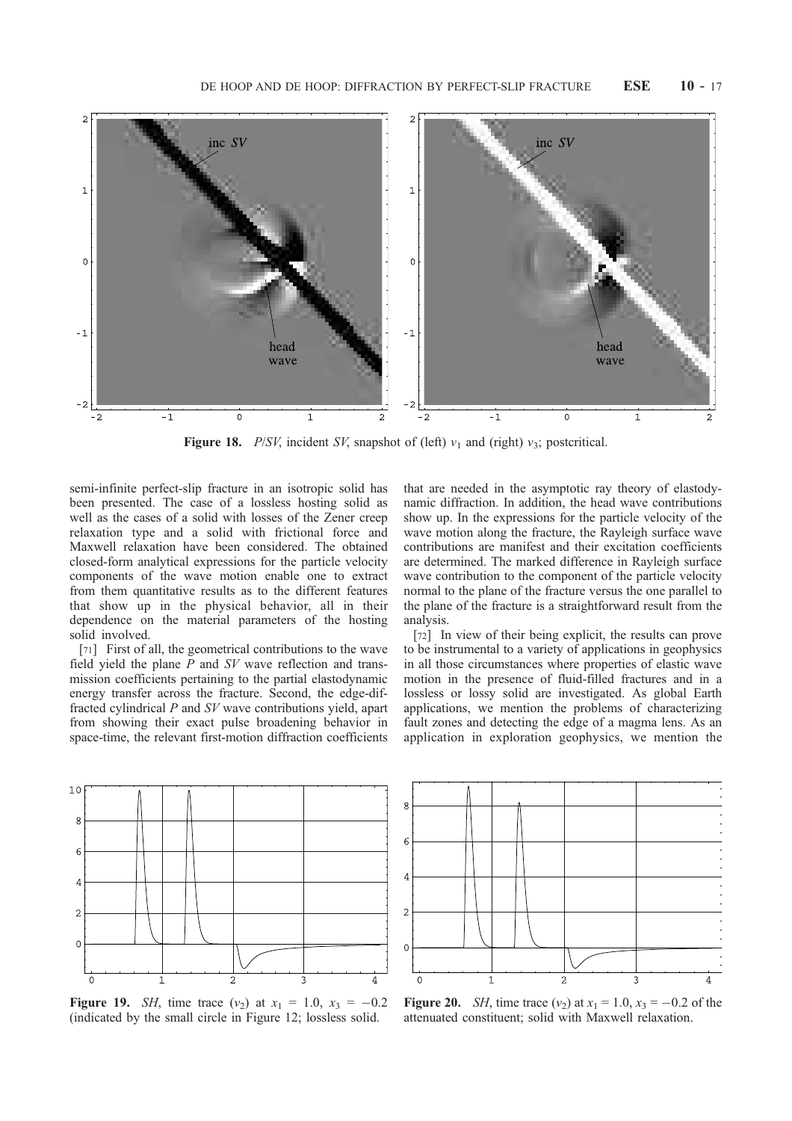

Figure 18. P/SV, incident SV, snapshot of (left)  $v_1$  and (right)  $v_3$ ; postcritical.

semi-infinite perfect-slip fracture in an isotropic solid has been presented. The case of a lossless hosting solid as well as the cases of a solid with losses of the Zener creep relaxation type and a solid with frictional force and Maxwell relaxation have been considered. The obtained closed-form analytical expressions for the particle velocity components of the wave motion enable one to extract from them quantitative results as to the different features that show up in the physical behavior, all in their dependence on the material parameters of the hosting solid involved.

[71] First of all, the geometrical contributions to the wave field yield the plane P and SV wave reflection and transmission coefficients pertaining to the partial elastodynamic energy transfer across the fracture. Second, the edge-diffracted cylindrical P and SV wave contributions yield, apart from showing their exact pulse broadening behavior in space-time, the relevant first-motion diffraction coefficients

that are needed in the asymptotic ray theory of elastodynamic diffraction. In addition, the head wave contributions show up. In the expressions for the particle velocity of the wave motion along the fracture, the Rayleigh surface wave contributions are manifest and their excitation coefficients are determined. The marked difference in Rayleigh surface wave contribution to the component of the particle velocity normal to the plane of the fracture versus the one parallel to the plane of the fracture is a straightforward result from the analysis.

[72] In view of their being explicit, the results can prove to be instrumental to a variety of applications in geophysics in all those circumstances where properties of elastic wave motion in the presence of fluid-filled fractures and in a lossless or lossy solid are investigated. As global Earth applications, we mention the problems of characterizing fault zones and detecting the edge of a magma lens. As an application in exploration geophysics, we mention the



**Figure 19.** *SH*, time trace  $(v_2)$  at  $x_1 = 1.0$ ,  $x_3 = -0.2$ (indicated by the small circle in Figure 12; lossless solid.



**Figure 20.** *SH*, time trace  $(v_2)$  at  $x_1 = 1.0$ ,  $x_3 = -0.2$  of the attenuated constituent; solid with Maxwell relaxation.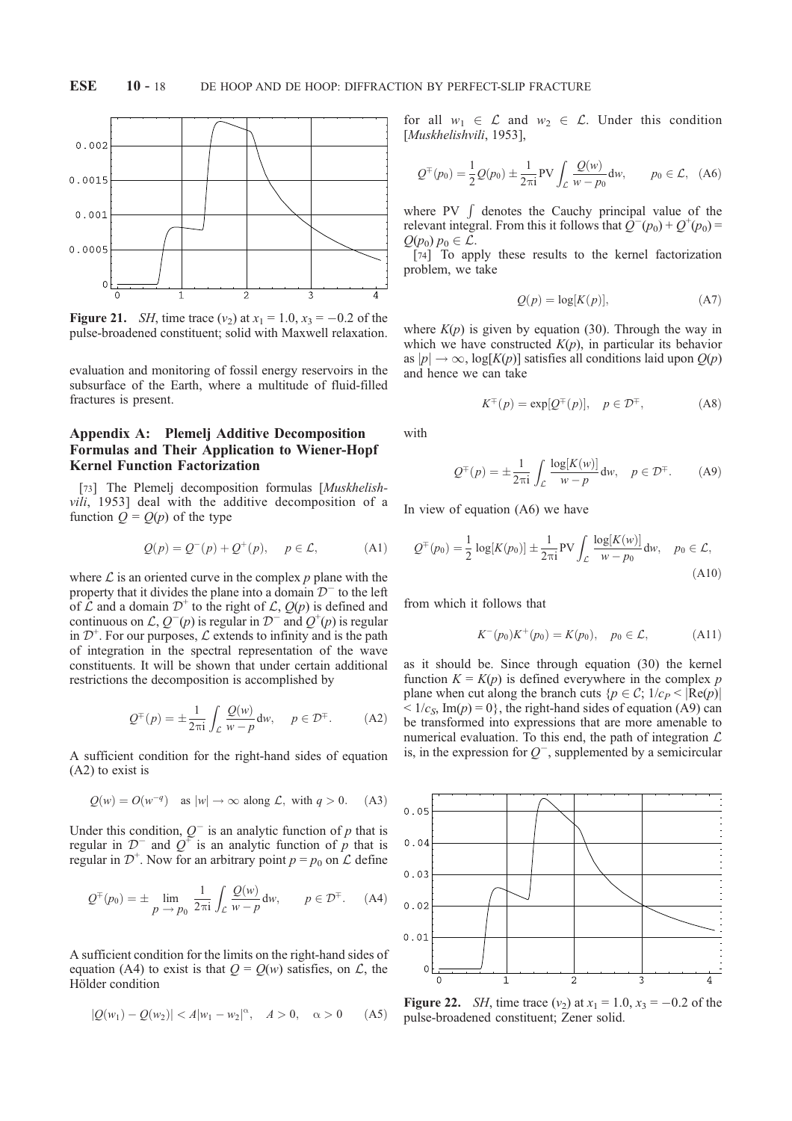

**Figure 21.** *SH*, time trace  $(v_2)$  at  $x_1 = 1.0$ ,  $x_3 = -0.2$  of the pulse-broadened constituent; solid with Maxwell relaxation.

evaluation and monitoring of fossil energy reservoirs in the subsurface of the Earth, where a multitude of fluid-filled fractures is present.

# Appendix A: Plemelj Additive Decomposition Formulas and Their Application to Wiener-Hopf Kernel Function Factorization

[73] The Plemelj decomposition formulas [Muskhelishvili, 1953] deal with the additive decomposition of a function  $Q = Q(p)$  of the type

$$
Q(p) = Q^-(p) + Q^+(p), \quad p \in \mathcal{L}, \tag{A1}
$$

where  $\mathcal L$  is an oriented curve in the complex p plane with the property that it divides the plane into a domain  $\mathcal{D}^-$  to the left of  $\mathcal L$  and a domain  $\mathcal D^+$  to the right of  $\mathcal L$ ,  $\mathcal Q(p)$  is defined and continuous on  $\mathcal{L}, Q^-(p)$  is regular in  $\mathcal{D}^-$  and  $\mathcal{Q}^+(p)$  is regular in  $\mathcal{D}^+$ . For our purposes,  $\mathcal L$  extends to infinity and is the path of integration in the spectral representation of the wave constituents. It will be shown that under certain additional restrictions the decomposition is accomplished by

$$
Q^{\pm}(p) = \pm \frac{1}{2\pi i} \int_{\mathcal{L}} \frac{Q(w)}{w - p} dw, \quad p \in \mathcal{D}^{\pm}.
$$
 (A2)

A sufficient condition for the right-hand sides of equation (A2) to exist is

$$
Q(w) = O(w^{-q})
$$
 as  $|w| \to \infty$  along  $\mathcal{L}$ , with  $q > 0$ . (A3)

Under this condition,  $Q^{-}$  is an analytic function of p that is regular in  $\mathcal{D}^-$  and  $\mathcal{Q}^+$  is an analytic function of  $\mathcal{P}$  that is regular in  $\mathcal{D}^+$ . Now for an arbitrary point  $p = p_0$  on  $\mathcal L$  define

$$
Q^{\pm}(p_0) = \pm \lim_{p \to p_0} \frac{1}{2\pi i} \int_{\mathcal{L}} \frac{Q(w)}{w - p} dw, \qquad p \in \mathcal{D}^{\pm}.
$$
 (A4)

A sufficient condition for the limits on the right-hand sides of equation (A4) to exist is that  $Q = Q(w)$  satisfies, on  $\mathcal{L}$ , the Hölder condition

$$
|Q(w_1) - Q(w_2)| < A|w_1 - w_2|^{\alpha}, \quad A > 0, \quad \alpha > 0 \quad (A5)
$$

for all  $w_1 \in \mathcal{L}$  and  $w_2 \in \mathcal{L}$ . Under this condition [Muskhelishvili, 1953],

$$
Q^{\pm}(p_0) = \frac{1}{2}Q(p_0) \pm \frac{1}{2\pi i}PV \int_{\mathcal{L}} \frac{Q(w)}{w - p_0} dw, \qquad p_0 \in \mathcal{L}, \quad (A6)
$$

where PV  $\int$  denotes the Cauchy principal value of the relevant integral. From this it follows that  $\overline{Q}^-(p_0) + \overline{Q}^+(p_0) =$  $Q(p_0) p_0 \in \mathcal{L}.$ 

[74] To apply these results to the kernel factorization problem, we take

$$
Q(p) = \log[K(p)],\tag{A7}
$$

where  $K(p)$  is given by equation (30). Through the way in which we have constructed  $K(p)$ , in particular its behavior as  $|p| \to \infty$ ,  $\log[K(p)]$  satisfies all conditions laid upon  $O(p)$ and hence we can take

$$
K^{\mp}(p) = \exp[Q^{\mp}(p)], \quad p \in \mathcal{D}^{\mp}, \tag{A8}
$$

with

$$
Q^{\pm}(p) = \pm \frac{1}{2\pi i} \int_{\mathcal{L}} \frac{\log[K(w)]}{w - p} dw, \quad p \in \mathcal{D}^{\pm}.
$$
 (A9)

In view of equation (A6) we have

$$
Q^{\pm}(p_0) = \frac{1}{2} \log[K(p_0)] \pm \frac{1}{2\pi i} \text{PV} \int_{\mathcal{L}} \frac{\log[K(w)]}{w - p_0} dw, \quad p_0 \in \mathcal{L},
$$
\n(A10)

from which it follows that

$$
K^-(p_0)K^+(p_0) = K(p_0), \quad p_0 \in \mathcal{L}, \tag{A11}
$$

as it should be. Since through equation (30) the kernel function  $K = K(p)$  is defined everywhere in the complex p plane when cut along the branch cuts  ${p \in C; 1/c_P < |\text{Re}(p)|}$  $< 1/c_s$ , Im(p) = 0, the right-hand sides of equation (A9) can be transformed into expressions that are more amenable to numerical evaluation. To this end, the path of integration  $\mathcal L$ is, in the expression for  $Q^-$ , supplemented by a semicircular



**Figure 22.** *SH*, time trace  $(v_2)$  at  $x_1 = 1.0$ ,  $x_3 = -0.2$  of the pulse-broadened constituent; Zener solid.